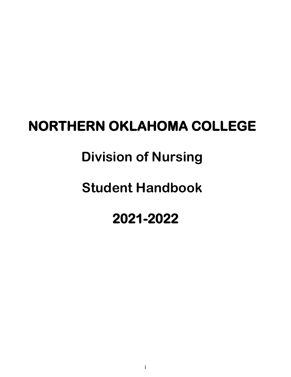# **NORTHERN OKLAHOMA COLLEGE**

# **Division of Nursing**

# **Student Handbook**

# **2021-2022**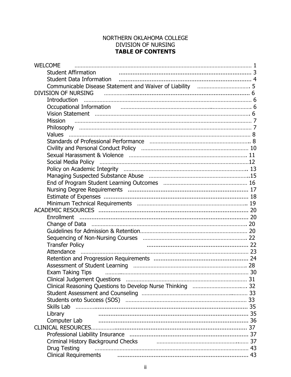## NORTHERN OKLAHOMA COLLEGE DIVISION OF NURSING **TABLE OF CONTENTS**

| <b>WELCOME</b>                                                                                                                                                                                                                      |  |
|-------------------------------------------------------------------------------------------------------------------------------------------------------------------------------------------------------------------------------------|--|
| <b>Student Affirmation</b>                                                                                                                                                                                                          |  |
| <b>Student Data Information</b>                                                                                                                                                                                                     |  |
|                                                                                                                                                                                                                                     |  |
| <b>DIVISION OF NURSING</b>                                                                                                                                                                                                          |  |
| <b>Introduction</b>                                                                                                                                                                                                                 |  |
| Occupational Information manufactured control of the control of the control of the control of the control of t                                                                                                                      |  |
|                                                                                                                                                                                                                                     |  |
| <b>Mission</b>                                                                                                                                                                                                                      |  |
|                                                                                                                                                                                                                                     |  |
|                                                                                                                                                                                                                                     |  |
|                                                                                                                                                                                                                                     |  |
|                                                                                                                                                                                                                                     |  |
|                                                                                                                                                                                                                                     |  |
|                                                                                                                                                                                                                                     |  |
|                                                                                                                                                                                                                                     |  |
|                                                                                                                                                                                                                                     |  |
|                                                                                                                                                                                                                                     |  |
|                                                                                                                                                                                                                                     |  |
|                                                                                                                                                                                                                                     |  |
|                                                                                                                                                                                                                                     |  |
|                                                                                                                                                                                                                                     |  |
| Enrollment                                                                                                                                                                                                                          |  |
|                                                                                                                                                                                                                                     |  |
|                                                                                                                                                                                                                                     |  |
|                                                                                                                                                                                                                                     |  |
| <b>Transfer Policy</b>                                                                                                                                                                                                              |  |
|                                                                                                                                                                                                                                     |  |
|                                                                                                                                                                                                                                     |  |
|                                                                                                                                                                                                                                     |  |
| <b>Exam Taking Tips</b>                                                                                                                                                                                                             |  |
|                                                                                                                                                                                                                                     |  |
|                                                                                                                                                                                                                                     |  |
|                                                                                                                                                                                                                                     |  |
|                                                                                                                                                                                                                                     |  |
|                                                                                                                                                                                                                                     |  |
| Library                                                                                                                                                                                                                             |  |
| Computer Lab                                                                                                                                                                                                                        |  |
|                                                                                                                                                                                                                                     |  |
|                                                                                                                                                                                                                                     |  |
| Criminal History Background Checks                                                                                                                                                                                                  |  |
| <b>Drug Testing</b>                                                                                                                                                                                                                 |  |
| Clinical Requirements <b>contracts</b> and the contract of the contract of the contract of the contract of the contract of the contract of the contract of the contract of the contract of the contract of the contract of the cont |  |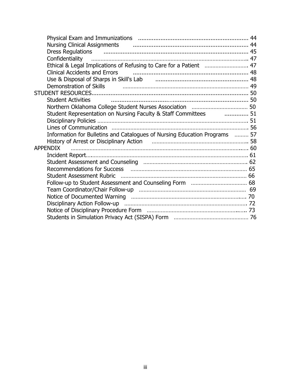| Nursing Clinical Assignments <b>contained a manufacture and a manufacture and a 44</b>                                                                                                                                         |  |
|--------------------------------------------------------------------------------------------------------------------------------------------------------------------------------------------------------------------------------|--|
| Dress Regulations (and the contract of the contract of the contract of the contract of the contract of the contract of the contract of the contract of the contract of the contract of the contract of the contract of the con |  |
|                                                                                                                                                                                                                                |  |
| Ethical & Legal Implications of Refusing to Care for a Patient  47                                                                                                                                                             |  |
| <b>Clinical Accidents and Errors</b>                                                                                                                                                                                           |  |
|                                                                                                                                                                                                                                |  |
| Demonstration of Skills <b>contracts</b> and the contract of Skills and Community and the contract of the contract of                                                                                                          |  |
|                                                                                                                                                                                                                                |  |
| <b>Student Activities</b>                                                                                                                                                                                                      |  |
|                                                                                                                                                                                                                                |  |
| Student Representation on Nursing Faculty & Staff Committees  51                                                                                                                                                               |  |
|                                                                                                                                                                                                                                |  |
|                                                                                                                                                                                                                                |  |
| Information for Bulletins and Catalogues of Nursing Education Programs  57                                                                                                                                                     |  |
| History of Arrest or Disciplinary Action [11] manufacturean manufacturean 58                                                                                                                                                   |  |
| <b>APPENDIX</b>                                                                                                                                                                                                                |  |
|                                                                                                                                                                                                                                |  |
|                                                                                                                                                                                                                                |  |
|                                                                                                                                                                                                                                |  |
| Student Assessment Rubric (Material Communication and the Student Assessment Rubric                                                                                                                                            |  |
|                                                                                                                                                                                                                                |  |
|                                                                                                                                                                                                                                |  |
|                                                                                                                                                                                                                                |  |
|                                                                                                                                                                                                                                |  |
|                                                                                                                                                                                                                                |  |
|                                                                                                                                                                                                                                |  |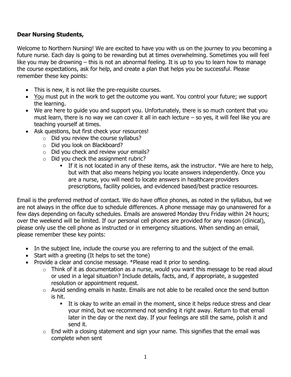## **Dear Nursing Students,**

Welcome to Northern Nursing! We are excited to have you with us on the journey to you becoming a future nurse. Each day is going to be rewarding but at times overwhelming. Sometimes you will feel like you may be drowning – this is not an abnormal feeling. It is up to you to learn how to manage the course expectations, ask for help, and create a plan that helps you be successful. Please remember these key points:

- This is new, it is not like the pre-requisite courses.
- You must put in the work to get the outcome you want. You control your future; we support the learning.
- We are here to guide you and support you. Unfortunately, there is so much content that you must learn, there is no way we can cover it all in each lecture  $-$  so yes, it will feel like you are teaching yourself at times.
- Ask questions, but first check your resources!
	- o Did you review the course syllabus?
	- o Did you look on Blackboard?
	- o Did you check and review your emails?
	- o Did you check the assignment rubric?
		- If it is not located in any of these items, ask the instructor. \*We are here to help, but with that also means helping you locate answers independently. Once you are a nurse, you will need to locate answers in healthcare providers prescriptions, facility policies, and evidenced based/best practice resources.

Email is the preferred method of contact. We do have office phones, as noted in the syllabus, but we are not always in the office due to schedule differences. A phone message may go unanswered for a few days depending on faculty schedules. Emails are answered Monday thru Friday within 24 hours; over the weekend will be limited. If our personal cell phones are provided for any reason (clinical), please only use the cell phone as instructed or in emergency situations. When sending an email, please remember these key points:

- In the subject line, include the course you are referring to and the subject of the email.
- Start with a greeting (It helps to set the tone)
- Provide a clear and concise message. \*Please read it prior to sending.
	- $\circ$  Think of it as documentation as a nurse, would you want this message to be read aloud or used in a legal situation? Include details, facts, and, if appropriate, a suggested resolution or appointment request.
	- o Avoid sending emails in haste. Emails are not able to be recalled once the send button is hit.
		- It is okay to write an email in the moment, since it helps reduce stress and clear your mind, but we recommend not sending it right away. Return to that email later in the day or the next day. If your feelings are still the same, polish it and send it.
	- $\circ$  End with a closing statement and sign your name. This signifies that the email was complete when sent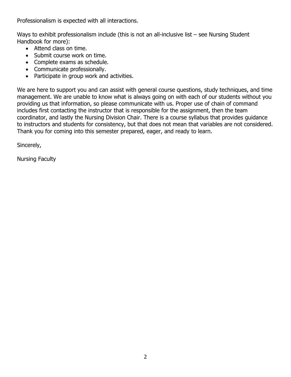Professionalism is expected with all interactions.

Ways to exhibit professionalism include (this is not an all-inclusive list – see Nursing Student Handbook for more):

- Attend class on time.
- Submit course work on time.
- Complete exams as schedule.
- Communicate professionally.
- Participate in group work and activities.

We are here to support you and can assist with general course questions, study techniques, and time management. We are unable to know what is always going on with each of our students without you providing us that information, so please communicate with us. Proper use of chain of command includes first contacting the instructor that is responsible for the assignment, then the team coordinator, and lastly the Nursing Division Chair. There is a course syllabus that provides guidance to instructors and students for consistency, but that does not mean that variables are not considered. Thank you for coming into this semester prepared, eager, and ready to learn.

Sincerely,

Nursing Faculty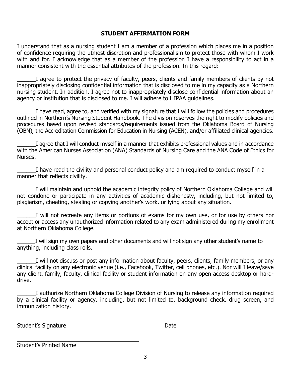### **STUDENT AFFIRMATION FORM**

I understand that as a nursing student I am a member of a profession which places me in a position of confidence requiring the utmost discretion and professionalism to protect those with whom I work with and for. I acknowledge that as a member of the profession I have a responsibility to act in a manner consistent with the essential attributes of the profession. In this regard:

I agree to protect the privacy of faculty, peers, clients and family members of clients by not inappropriately disclosing confidential information that is disclosed to me in my capacity as a Northern nursing student. In addition, I agree not to inappropriately disclose confidential information about an agency or institution that is disclosed to me. I will adhere to HIPAA guidelines.

I have read, agree to, and verified with my signature that I will follow the policies and procedures outlined in Northern's Nursing Student Handbook. The division reserves the right to modify policies and procedures based upon revised standards/requirements issued from the Oklahoma Board of Nursing (OBN), the Accreditation Commission for Education in Nursing (ACEN), and/or affiliated clinical agencies.

I agree that I will conduct myself in a manner that exhibits professional values and in accordance with the American Nurses Association (ANA) Standards of Nursing Care and the ANA Code of Ethics for Nurses.

\_\_\_\_\_\_I have read the civility and personal conduct policy and am required to conduct myself in a manner that reflects civility.

I will maintain and uphold the academic integrity policy of Northern Oklahoma College and will not condone or participate in any activities of academic dishonesty, including, but not limited to, plagiarism, cheating, stealing or copying another's work, or lying about any situation.

I will not recreate any items or portions of exams for my own use, or for use by others nor accept or access any unauthorized information related to any exam administered during my enrollment at Northern Oklahoma College.

I will sign my own papers and other documents and will not sign any other student's name to anything, including class rolls.

I will not discuss or post any information about faculty, peers, clients, family members, or any clinical facility on any electronic venue (i.e., Facebook, Twitter, cell phones, etc.). Nor will I leave/save any client, family, faculty, clinical facility or student information on any open access desktop or harddrive.

I authorize Northern Oklahoma College Division of Nursing to release any information required by a clinical facility or agency, including, but not limited to, background check, drug screen, and immunization history.

Student's Signature Date Date

Student's Printed Name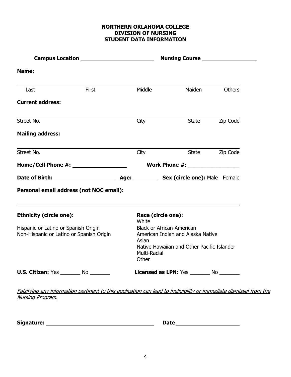### **NORTHERN OKLAHOMA COLLEGE DIVISION OF NURSING STUDENT DATA INFORMATION**

| Campus Location <u>New York Campus Location</u> |                                          |                                                                                    | <b>Nursing Course Nursing Course</b>                                            |                |
|-------------------------------------------------|------------------------------------------|------------------------------------------------------------------------------------|---------------------------------------------------------------------------------|----------------|
| Name:                                           |                                          |                                                                                    |                                                                                 |                |
| Last                                            | First                                    | Middle                                                                             | Maiden                                                                          | Others         |
| <b>Current address:</b>                         |                                          |                                                                                    |                                                                                 |                |
| Street No.                                      |                                          | City                                                                               | State                                                                           | Zip Code       |
| <b>Mailing address:</b>                         |                                          |                                                                                    |                                                                                 |                |
|                                                 |                                          |                                                                                    |                                                                                 | State Zip Code |
|                                                 |                                          | City                                                                               |                                                                                 |                |
| Street No.                                      | Home/Cell Phone #: __________________    |                                                                                    |                                                                                 |                |
|                                                 |                                          |                                                                                    |                                                                                 |                |
|                                                 | Personal email address (not NOC email):  |                                                                                    |                                                                                 |                |
| <b>Ethnicity (circle one):</b>                  |                                          | Race (circle one):                                                                 |                                                                                 |                |
| Hispanic or Latino or Spanish Origin            | Non-Hispanic or Latino or Spanish Origin | White<br><b>Black or African-American</b><br>Asian<br><b>Multi-Racial</b><br>Other | American Indian and Alaska Native<br>Native Hawaiian and Other Pacific Islander |                |

Falsifying any information pertinent to this application can lead to ineligibility or immediate dismissal from the Nursing Program.

**Signature: Date**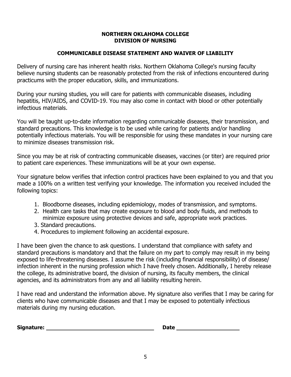### **NORTHERN OKLAHOMA COLLEGE DIVISION OF NURSING**

### **COMMUNICABLE DISEASE STATEMENT AND WAIVER OF LIABILITY**

Delivery of nursing care has inherent health risks. Northern Oklahoma College's nursing faculty believe nursing students can be reasonably protected from the risk of infections encountered during practicums with the proper education, skills, and immunizations.

During your nursing studies, you will care for patients with communicable diseases, including hepatitis, HIV/AIDS, and COVID-19. You may also come in contact with blood or other potentially infectious materials.

You will be taught up-to-date information regarding communicable diseases, their transmission, and standard precautions. This knowledge is to be used while caring for patients and/or handling potentially infectious materials. You will be responsible for using these mandates in your nursing care to minimize diseases transmission risk.

Since you may be at risk of contracting communicable diseases, vaccines (or titer) are required prior to patient care experiences. These immunizations will be at your own expense.

Your signature below verifies that infection control practices have been explained to you and that you made a 100% on a written test verifying your knowledge. The information you received included the following topics:

- 1. Bloodborne diseases, including epidemiology, modes of transmission, and symptoms.
- 2. Health care tasks that may create exposure to blood and body fluids, and methods to minimize exposure using protective devices and safe, appropriate work practices.
- 3. Standard precautions.
- 4. Procedures to implement following an accidental exposure.

I have been given the chance to ask questions. I understand that compliance with safety and standard precautions is mandatory and that the failure on my part to comply may result in my being exposed to life-threatening diseases. I assume the risk (including financial responsibility) of disease/ infection inherent in the nursing profession which I have freely chosen. Additionally, I hereby release the college, its administrative board, the division of nursing, its faculty members, the clinical agencies, and its administrators from any and all liability resulting herein.

I have read and understand the information above. My signature also verifies that I may be caring for clients who have communicable diseases and that I may be exposed to potentially infectious materials during my nursing education.

| Signature: | Date |
|------------|------|
|------------|------|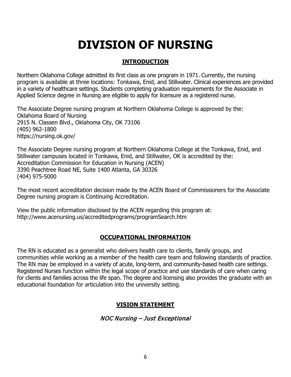# **DIVISION OF NURSING**

## **INTRODUCTION**

Northern Oklahoma College admitted its first class as one program in 1971. Currently, the nursing program is available at three locations: Tonkawa, Enid, and Stillwater. Clinical experiences are provided in a variety of healthcare settings. Students completing graduation requirements for the Associate in Applied Science degree in Nursing are eligible to apply for licensure as a registered nurse.

The Associate Degree nursing program at Northern Oklahoma College is approved by the: Oklahoma Board of Nursing 2915 N. Classen Blvd., Oklahoma City, OK 73106 (405) 962-1800 https://nursing.ok.gov/

The Associate Degree nursing program at Northern Oklahoma College at the Tonkawa, Enid, and Stillwater campuses located in Tonkawa, Enid, and Stillwater, OK is accredited by the: Accreditation Commission for Education in Nursing (ACEN) 3390 Peachtree Road NE, Suite 1400 Atlanta, GA 30326 (404) 975-5000

The most recent accreditation decision made by the ACEN Board of Commissioners for the Associate Degree nursing program is Continuing Accreditation.

View the public information disclosed by the ACEN regarding this program at: http://www.acenursing.us/accreditedprograms/programSearch.htm

## **OCCUPATIONAL INFORMATION**

The RN is educated as a generalist who delivers health care to clients, family groups, and communities while working as a member of the health care team and following standards of practice. The RN may be employed in a variety of acute, long-term, and community-based health care settings. Registered Nurses function within the legal scope of practice and use standards of care when caring for clients and families across the life span. The degree and licensing also provides the graduate with an educational foundation for articulation into the university setting.

# **VISION STATEMENT**

## NOC Nursing – Just Exceptional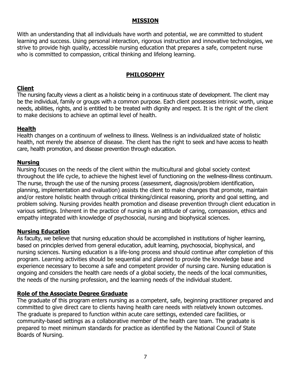### **MISSION**

With an understanding that all individuals have worth and potential, we are committed to student learning and success. Using personal interaction, rigorous instruction and innovative technologies, we strive to provide high quality, accessible nursing education that prepares a safe, competent nurse who is committed to compassion, critical thinking and lifelong learning.

## **PHILOSOPHY**

### **Client**

The nursing faculty views a client as a holistic being in a continuous state of development. The client may be the individual, family or groups with a common purpose. Each client possesses intrinsic worth, unique needs, abilities, rights, and is entitled to be treated with dignity and respect. It is the right of the client to make decisions to achieve an optimal level of health.

### **Health**

Health changes on a continuum of wellness to illness. Wellness is an individualized state of holistic health, not merely the absence of disease. The client has the right to seek and have access to health care, health promotion, and disease prevention through education.

### **Nursing**

Nursing focuses on the needs of the client within the multicultural and global society context throughout the life cycle, to achieve the highest level of functioning on the wellness-illness continuum. The nurse, through the use of the nursing process (assessment, diagnosis/problem identification, planning, implementation and evaluation) assists the client to make changes that promote, maintain and/or restore holistic health through critical thinking/clinical reasoning, priority and goal setting, and problem solving. Nursing provides health promotion and disease prevention through client education in various settings. Inherent in the practice of nursing is an attitude of caring, compassion, ethics and empathy integrated with knowledge of psychosocial, nursing and biophysical sciences.

### **Nursing Education**

As faculty, we believe that nursing education should be accomplished in institutions of higher learning, based on principles derived from general education, adult learning, psychosocial, biophysical, and nursing sciences. Nursing education is a life-long process and should continue after completion of this program. Learning activities should be sequential and planned to provide the knowledge base and experience necessary to become a safe and competent provider of nursing care. Nursing education is ongoing and considers the health care needs of a global society, the needs of the local communities, the needs of the nursing profession, and the learning needs of the individual student.

### **Role of the Associate Degree Graduate**

The graduate of this program enters nursing as a competent, safe, beginning practitioner prepared and committed to give direct care to clients having health care needs with relatively known outcomes. The graduate is prepared to function within acute care settings, extended care facilities, or community-based settings as a collaborative member of the health care team. The graduate is prepared to meet minimum standards for practice as identified by the National Council of State Boards of Nursing.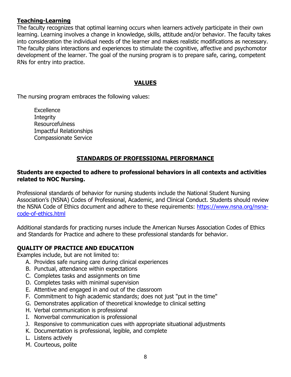## **Teaching-Learning**

The faculty recognizes that optimal learning occurs when learners actively participate in their own learning. Learning involves a change in knowledge, skills, attitude and/or behavior. The faculty takes into consideration the individual needs of the learner and makes realistic modifications as necessary. The faculty plans interactions and experiences to stimulate the cognitive, affective and psychomotor development of the learner. The goal of the nursing program is to prepare safe, caring, competent RNs for entry into practice.

### **VALUES**

The nursing program embraces the following values:

**Excellence Integrity** Resourcefulness Impactful Relationships Compassionate Service

## **STANDARDS OF PROFESSIONAL PERFORMANCE**

### **Students are expected to adhere to professional behaviors in all contexts and activities related to NOC Nursing.**

Professional standards of behavior for nursing students include the National Student Nursing Association's (NSNA) Codes of Professional, Academic, and Clinical Conduct. Students should review the NSNA Code of Ethics document and adhere to these requirements: [https://www.nsna.org/nsna](https://www.nsna.org/nsna-code-of-ethics.html)[code-of-ethics.html](https://www.nsna.org/nsna-code-of-ethics.html)

Additional standards for practicing nurses include the American Nurses Association Codes of Ethics and Standards for Practice and adhere to these professional standards for behavior.

## **QUALITY OF PRACTICE AND EDUCATION**

Examples include, but are not limited to:

- A. Provides safe nursing care during clinical experiences
- B. Punctual, attendance within expectations
- C. Completes tasks and assignments on time
- D. Completes tasks with minimal supervision
- E. Attentive and engaged in and out of the classroom
- F. Commitment to high academic standards; does not just "put in the time"
- G. Demonstrates application of theoretical knowledge to clinical setting
- H. Verbal communication is professional
- I. Nonverbal communication is professional
- J. Responsive to communication cues with appropriate situational adjustments
- K. Documentation is professional, legible, and complete
- L. Listens actively
- M. Courteous, polite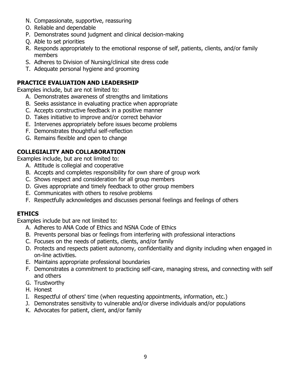- N. Compassionate, supportive, reassuring
- O. Reliable and dependable
- P. Demonstrates sound judgment and clinical decision‐making
- Q. Able to set priorities
- R. Responds appropriately to the emotional response of self, patients, clients, and/or family members
- S. Adheres to Division of Nursing/clinical site dress code
- T. Adequate personal hygiene and grooming

## **PRACTICE EVALUATION AND LEADERSHIP**

Examples include, but are not limited to:

- A. Demonstrates awareness of strengths and limitations
- B. Seeks assistance in evaluating practice when appropriate
- C. Accepts constructive feedback in a positive manner
- D. Takes initiative to improve and/or correct behavior
- E. Intervenes appropriately before issues become problems
- F. Demonstrates thoughtful self‐reflection
- G. Remains flexible and open to change

## **COLLEGIALITY AND COLLABORATION**

Examples include, but are not limited to:

- A. Attitude is collegial and cooperative
- B. Accepts and completes responsibility for own share of group work
- C. Shows respect and consideration for all group members
- D. Gives appropriate and timely feedback to other group members
- E. Communicates with others to resolve problems
- F. Respectfully acknowledges and discusses personal feelings and feelings of others

## **ETHICS**

Examples include but are not limited to:

- A. Adheres to ANA Code of Ethics and NSNA Code of Ethics
- B. Prevents personal bias or feelings from interfering with professional interactions
- C. Focuses on the needs of patients, clients, and/or family
- D. Protects and respects patient autonomy, confidentiality and dignity including when engaged in on-line activities.
- E. Maintains appropriate professional boundaries
- F. Demonstrates a commitment to practicing self‐care, managing stress, and connecting with self and others
- G. Trustworthy
- H. Honest
- I. Respectful of others' time (when requesting appointments, information, etc.)
- J. Demonstrates sensitivity to vulnerable and/or diverse individuals and/or populations
- K. Advocates for patient, client, and/or family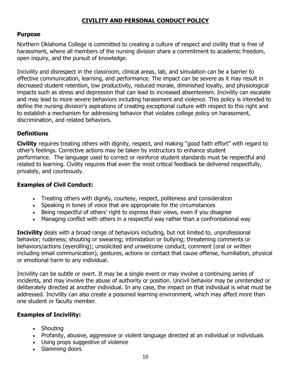# **CIVILITY AND PERSONAL CONDUCT POLICY**

### **Purpose**

Northern Oklahoma College is committed to creating a culture of respect and civility that is free of harassment, where all members of the nursing division share a commitment to academic freedom, open inquiry, and the pursuit of knowledge.

Incivility and disrespect in the classroom, clinical areas, lab, and simulation can be a barrier to effective communication, learning, and performance. The impact can be severe as it may result in decreased student retention, low productivity, reduced morale, diminished loyalty, and physiological impacts such as stress and depression that can lead to increased absenteeism. Incivility can escalate and may lead to more severe behaviors including harassment and violence. This policy is intended to define the nursing division's aspirations of creating exceptional culture with respect to this right and to establish a mechanism for addressing behavior that violates college policy on harassment, discrimination, and related behaviors.

### **Definitions**

**Civility** requires treating others with dignity, respect, and making "good faith effort" with regard to other's feelings. Corrective actions may be taken by instructors to enhance student performance. The language used to correct or reinforce student standards must be respectful and related to learning. Civility requires that even the most critical feedback be delivered respectfully, privately, and courteously.

### **Examples of Civil Conduct:**

- Treating others with dignity, courtesy, respect, politeness and consideration
- Speaking in tones of voice that are appropriate for the circumstances
- Being respectful of others' right to express their views, even if you disagree
- Managing conflict with others in a respectful way rather than a confrontational way

**Incivility** deals with a broad range of behaviors including, but not limited to, unprofessional behavior; rudeness; shouting or swearing; intimidation or bullying; threatening comments or behaviors/actions (eyerolling); unsolicited and unwelcome conduct, comment (oral or written including email communication), gestures, actions or contact that cause offense, humiliation, physical or emotional harm to any individual.

Incivility can be subtle or overt. It may be a single event or may involve a continuing series of incidents, and may involve the abuse of authority or position. Uncivil behavior may be unintended or deliberately directed at another individual. In any case, the impact on that individual is what must be addressed. Incivility can also create a poisoned learning environment, which may affect more than one student or faculty member.

### **Examples of Incivility:**

- Shouting
- Profanity, abusive, aggressive or violent language directed at an individual or individuals
- Using props suggestive of violence
- Slamming doors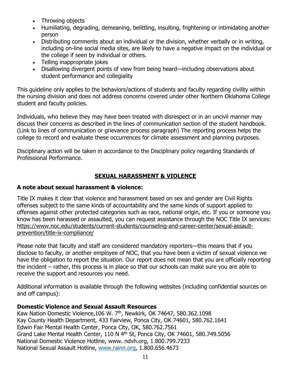- Throwing objects
- Humiliating, degrading, demeaning, belittling, insulting, frightening or intimidating another person
- Distributing comments about an individual or the division, whether verbally or in writing, including on-line social media sites, are likely to have a negative impact on the individual or the college if seen by individual or others.
- Telling inappropriate jokes
- Disallowing divergent points of view from being heard—including observations about student performance and collegiality

This guideline only applies to the behaviors/actions of students and faculty regarding civility within the nursing division and does not address concerns covered under other Northern Oklahoma College student and faculty policies.

Individuals, who believe they may have been treated with disrespect or in an uncivil manner may discuss their concerns as described in the lines of communication section of the student handbook. (Link to lines of communication or grievance process paragraph) The reporting process helps the college to record and evaluate these occurrences for climate assessment and planning purposes.

Disciplinary action will be taken in accordance to the Disciplinary policy regarding Standards of Professional Performance.

# **SEXUAL HARASSMENT & VIOLENCE**

## **A note about sexual harassment & violence:**

Title IX makes it clear that violence and harassment based on sex and gender are Civil Rights offenses subject to the same kinds of accountability and the same kinds of support applied to offenses against other protected categories such as race, national origin, etc. If you or someone you know has been harassed or assaulted, you can request assistance through the NOC Title IX services: [https://www.noc.edu/students/current-students/counseling-and-career-center/sexual-assault](https://www.noc.edu/students/current-students/counseling-and-career-center/sexual-assault-prevention/title-ix-compliance/)[prevention/title-ix-compliance/](https://www.noc.edu/students/current-students/counseling-and-career-center/sexual-assault-prevention/title-ix-compliance/)

Please note that faculty and staff are considered mandatory reporters—this means that if you disclose to faculty, or another employee of NOC, that you have been a victim of sexual violence we have the obligation to report the situation. Our report does not mean that you are officially reporting the incident – rather, this process is in place so that our schools can make sure you are able to receive the support and resources you need.

Additional information is available through the following websites (including confidential sources on and off campus):

## **Domestic Violence and Sexual Assault Resources**

Kaw Nation Domestic Violence, 106 W. 7<sup>th</sup>, Newkirk, OK 74647, 580.362.1098 Kay County Health Department, 433 Fairview, Ponca City, OK 74601, 580.762.1641 Edwin Fair Mental Health Center, Ponca City, OK, 580.762.7561 Grand Lake Mental Health Center, 110 N 4<sup>th</sup> St, Ponca City, OK 74601, 580.749.5056 National Domestic Violence Hotline, www. ndvh.org, 1.800.799.7233 National Sexual Assault Hotline, [www.rainn.org,](http://www.rainn.org/) 1.800.656.4673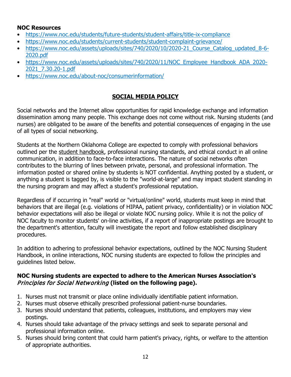## **NOC Resources**

- <https://www.noc.edu/students/future-students/student-affairs/title-ix-compliance>
- <https://www.noc.edu/students/current-students/student-complaint-grievance/>
- https://www.noc.edu/assets/uploads/sites/740/2020/10/2020-21 Course Catalog updated 8-6-[2020.pdf](https://www.noc.edu/assets/uploads/sites/740/2020/10/2020-21_Course_Catalog_updated_8-6-2020.pdf)
- [https://www.noc.edu/assets/uploads/sites/740/2020/11/NOC\\_Employee\\_Handbook\\_ADA\\_2020-](https://www.noc.edu/assets/uploads/sites/740/2020/11/NOC_Employee_Handbook_ADA_2020-2021_7.30.20-1.pdf) [2021\\_7.30.20-1.pdf](https://www.noc.edu/assets/uploads/sites/740/2020/11/NOC_Employee_Handbook_ADA_2020-2021_7.30.20-1.pdf)
- <https://www.noc.edu/about-noc/consumerinformation/>

# **SOCIAL MEDIA POLICY**

Social networks and the Internet allow opportunities for rapid knowledge exchange and information dissemination among many people. This exchange does not come without risk. Nursing students (and nurses) are obligated to be aware of the benefits and potential consequences of engaging in the use of all types of social networking.

Students at the Northern Oklahoma College are expected to comply with professional behaviors outlined per the [student handbook,](https://www.csbsju.edu/nursing/student-handbook/standards-of-professional-performance) professional nursing standards, and ethical conduct in all online communication, in addition to face-to-face interactions. The nature of social networks often contributes to the blurring of lines between private, personal, and professional information. The information posted or shared online by students is NOT confidential. Anything posted by a student, or anything a student is tagged by, is visible to the "world-at-large" and may impact student standing in the nursing program and may affect a student's professional reputation.

Regardless of if occurring in "real" world or "virtual/online" world, students must keep in mind that behaviors that are illegal (e.g. violations of HIPAA, patient privacy, confidentiality) or in violation NOC behavior expectations will also be illegal or violate NOC nursing policy. While it is not the policy of NOC faculty to monitor students' on-line activities, if a report of inappropriate postings are brought to the department's attention, faculty will investigate the report and follow established disciplinary procedures.

In addition to adhering to professional behavior expectations, outlined by the NOC Nursing Student Handbook, in online interactions, NOC nursing students are expected to follow the principles and guidelines listed below.

### **NOC Nursing students are expected to adhere to the American Nurses Association's** Principles for Social Networking **(listed on the following page).**

- 1. Nurses must not transmit or place online individually identifiable patient information.
- 2. Nurses must observe ethically prescribed professional patient-nurse boundaries.
- 3. Nurses should understand that patients, colleagues, institutions, and employers may view postings.
- 4. Nurses should take advantage of the privacy settings and seek to separate personal and professional information online.
- 5. Nurses should bring content that could harm patient's privacy, rights, or welfare to the attention of appropriate authorities.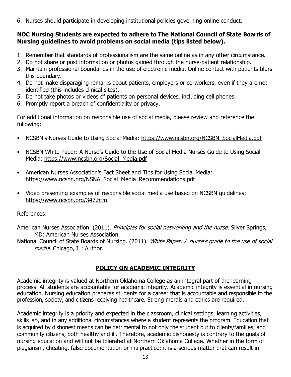6. Nurses should participate in developing institutional policies governing online conduct.

### **NOC Nursing Students are expected to adhere to The National Council of State Boards of Nursing guidelines to avoid problems on social media (tips listed below).**

- 1. Remember that standards of professionalism are the same online as in any other circumstance.
- 2. Do not share or post information or photos gained through the nurse-patient relationship.
- 3. Maintain professional boundaries in the use of electronic media. Online contact with patients blurs this boundary.
- 4. Do not make disparaging remarks about patients, employers or co-workers, even if they are not identified (this includes clinical sites).
- 5. Do not take photos or videos of patients on personal devices, including cell phones.
- 6. Promptly report a breach of confidentiality or privacy.

For additional information on responsible use of social media, please review and reference the following:

- NCSBN's Nurses Guide to Using Social Media: https://www.ncsbn.org/NCSBN SocialMedia.pdf
- NCSBN White Paper: A Nurse's Guide to the Use of Social Media Nurses Guide to Using Social Media: [https://www.ncsbn.org/Social\\_Media.pdf](https://www.ncsbn.org/Social_Media.pdf)
- American Nurses Association's Fact Sheet and Tips for Using Social Media: [https://www.ncsbn.org/NSNA\\_Social\\_Media\\_Recommendations.pdf](https://www.ncsbn.org/NSNA_Social_Media_Recommendations.pdf)
- Video presenting examples of responsible social media use based on NCSBN guidelines: <https://www.ncsbn.org/347.htm>

References:

American Nurses Association. (2011). Principles for social networking and the nurse. Silver Springs, MD: American Nurses Association.

National Council of State Boards of Nursing. (2011). White Paper: A nurse's quide to the use of social media. Chicago, IL: Author.

# **POLICY ON ACADEMIC INTEGRITY**

Academic integrity is valued at Northern Oklahoma College as an integral part of the learning process. All students are accountable for academic integrity. Academic integrity is essential in nursing education. Nursing education prepares students for a career that is accountable and responsible to the profession, society, and citizens receiving healthcare. Strong morals and ethics are required.

Academic integrity is a priority and expected in the classroom, clinical settings, learning activities, skills lab, and in any additional circumstances where a student represents the program. Education that is acquired by dishonest means can be detrimental to not only the student but to clients/families, and community citizens, both healthy and ill. Therefore, academic dishonesty is contrary to the goals of nursing education and will not be tolerated at Northern Oklahoma College. Whether in the form of plagiarism, cheating, false documentation or malpractice; it is a serious matter that can result in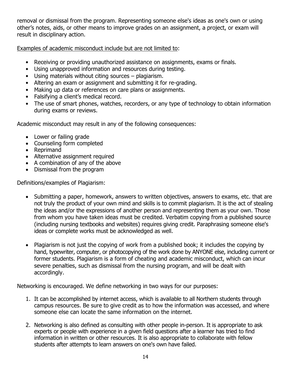removal or dismissal from the program. Representing someone else's ideas as one's own or using other's notes, aids, or other means to improve grades on an assignment, a project, or exam will result in disciplinary action.

Examples of academic misconduct include but are not limited to:

- Receiving or providing unauthorized assistance on assignments, exams or finals.
- Using unapproved information and resources during testing.
- Using materials without citing sources plagiarism.
- Altering an exam or assignment and submitting it for re-grading.
- Making up data or references on care plans or assignments.
- Falsifying a client's medical record.
- The use of smart phones, watches, recorders, or any type of technology to obtain information during exams or reviews.

Academic misconduct may result in any of the following consequences:

- Lower or failing grade
- Counseling form completed
- Reprimand
- Alternative assignment required
- A combination of any of the above
- Dismissal from the program

Definitions/examples of Plagiarism:

- Submitting a paper, homework, answers to written objectives, answers to exams, etc. that are not truly the product of your own mind and skills is to commit plagiarism. It is the act of stealing the ideas and/or the expressions of another person and representing them as your own. Those from whom you have taken ideas must be credited. Verbatim copying from a published source (including nursing textbooks and websites) requires giving credit. Paraphrasing someone else's ideas or complete works must be acknowledged as well.
- Plagiarism is not just the copying of work from a published book; it includes the copying by hand, typewriter, computer, or photocopying of the work done by ANYONE else, including current or former students. Plagiarism is a form of cheating and academic misconduct, which can incur severe penalties, such as dismissal from the nursing program, and will be dealt with accordingly.

Networking is encouraged. We define networking in two ways for our purposes:

- 1. It can be accomplished by internet access, which is available to all Northern students through campus resources. Be sure to give credit as to how the information was accessed, and where someone else can locate the same information on the internet.
- 2. Networking is also defined as consulting with other people in-person. It is appropriate to ask experts or people with experience in a given field questions after a learner has tried to find information in written or other resources. It is also appropriate to collaborate with fellow students after attempts to learn answers on one's own have failed.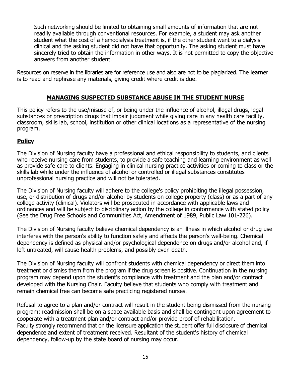Such networking should be limited to obtaining small amounts of information that are not readily available through conventional resources. For example, a student may ask another student what the cost of a hemodialysis treatment is, if the other student went to a dialysis clinical and the asking student did not have that opportunity. The asking student must have sincerely tried to obtain the information in other ways. It is not permitted to copy the objective answers from another student.

Resources on reserve in the libraries are for reference use and also are not to be plagiarized. The learner is to read and rephrase any materials, giving credit where credit is due.

## **MANAGING SUSPECTED SUBSTANCE ABUSE IN THE STUDENT NURSE**

This policy refers to the use/misuse of, or being under the influence of alcohol, illegal drugs, legal substances or prescription drugs that impair judgment while giving care in any health care facility, classroom, skills lab, school, institution or other clinical locations as a representative of the nursing program.

## **Policy**

The Division of Nursing faculty have a professional and ethical responsibility to students, and clients who receive nursing care from students, to provide a safe teaching and learning environment as well as provide safe care to clients. Engaging in clinical nursing practice activities or coming to class or the skills lab while under the influence of alcohol or controlled or illegal substances constitutes unprofessional nursing practice and will not be tolerated.

The Division of Nursing faculty will adhere to the college's policy prohibiting the illegal possession, use, or distribution of drugs and/or alcohol by students on college property (class) or as a part of any college activity (clinical). Violators will be prosecuted in accordance with applicable laws and ordinances and will be subject to disciplinary action by the college in conformance with stated policy (See the Drug Free Schools and Communities Act, Amendment of 1989, Public Law 101-226).

The Division of Nursing faculty believe chemical dependency is an illness in which alcohol or drug use interferes with the person's ability to function safely and affects the person's well-being. Chemical dependency is defined as physical and/or psychological dependence on drugs and/or alcohol and, if left untreated, will cause health problems, and possibly even death.

The Division of Nursing faculty will confront students with chemical dependency or direct them into treatment or dismiss them from the program if the drug screen is positive. Continuation in the nursing program may depend upon the student's compliance with treatment and the plan and/or contract developed with the Nursing Chair. Faculty believe that students who comply with treatment and remain chemical free can become safe practicing registered nurses.

Refusal to agree to a plan and/or contract will result in the student being dismissed from the nursing program; readmission shall be on a space available basis and shall be contingent upon agreement to cooperate with a treatment plan and/or contract and/or provide proof of rehabilitation. Faculty strongly recommend that on the licensure application the student offer full disclosure of chemical dependence and extent of treatment received. Resultant of the student's history of chemical dependency, follow-up by the state board of nursing may occur.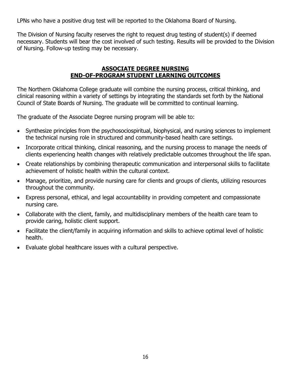LPNs who have a positive drug test will be reported to the Oklahoma Board of Nursing.

The Division of Nursing faculty reserves the right to request drug testing of student(s) if deemed necessary. Students will bear the cost involved of such testing. Results will be provided to the Division of Nursing. Follow-up testing may be necessary.

## **ASSOCIATE DEGREE NURSING END-OF-PROGRAM STUDENT LEARNING OUTCOMES**

The Northern Oklahoma College graduate will combine the nursing process, critical thinking, and clinical reasoning within a variety of settings by integrating the standards set forth by the National Council of State Boards of Nursing. The graduate will be committed to continual learning.

The graduate of the Associate Degree nursing program will be able to:

- Synthesize principles from the psychosociospiritual, biophysical, and nursing sciences to implement the technical nursing role in structured and community-based health care settings.
- Incorporate critical thinking, clinical reasoning, and the nursing process to manage the needs of clients experiencing health changes with relatively predictable outcomes throughout the life span.
- Create relationships by combining therapeutic communication and interpersonal skills to facilitate achievement of holistic health within the cultural context.
- Manage, prioritize, and provide nursing care for clients and groups of clients, utilizing resources throughout the community.
- Express personal, ethical, and legal accountability in providing competent and compassionate nursing care.
- Collaborate with the client, family, and multidisciplinary members of the health care team to provide caring, holistic client support.
- Facilitate the client/family in acquiring information and skills to achieve optimal level of holistic health.
- Evaluate global healthcare issues with a cultural perspective.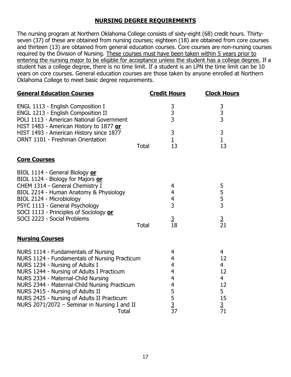## **NURSING DEGREE REQUIREMENTS**

The nursing program at Northern Oklahoma College consists of sixty-eight (68) credit hours. Thirtyseven (37) of these are obtained from nursing courses; eighteen (18) are obtained from core courses and thirteen (13) are obtained from general education courses. Core courses are non-nursing courses required by the Division of Nursing. These courses must have been taken within 5 years prior to entering the nursing major to be eligible for acceptance unless the student has a college degree. If a student has a college degree, there is no time limit. If a student is an LPN the time limit can be 10 years on core courses. General education courses are those taken by anyone enrolled at Northern Oklahoma College to meet basic degree requirements.

| <b>General Education Courses</b>                                                                                                                                                                                                                                                                                                                                                                             |              | <b>Credit Hours</b>                                                                                                                    | <b>Clock Hours</b>                                                                                |
|--------------------------------------------------------------------------------------------------------------------------------------------------------------------------------------------------------------------------------------------------------------------------------------------------------------------------------------------------------------------------------------------------------------|--------------|----------------------------------------------------------------------------------------------------------------------------------------|---------------------------------------------------------------------------------------------------|
| <b>ENGL 1113 - English Composition I</b><br>ENGL 1213 - English Composition II<br>POLI 1113 - American National Government<br>HIST 1483 - American History to 1877 or                                                                                                                                                                                                                                        |              | $\frac{3}{3}$                                                                                                                          | $\begin{array}{c} 3 \\ 3 \end{array}$                                                             |
| HIST 1493 - American History since 1877<br>ORNT 1101 - Freshman Orientation                                                                                                                                                                                                                                                                                                                                  | <b>Total</b> | 3<br>$\overline{1}$<br>13                                                                                                              | 3<br>$\overline{1}$<br>13                                                                         |
| <b>Core Courses</b>                                                                                                                                                                                                                                                                                                                                                                                          |              |                                                                                                                                        |                                                                                                   |
| BIOL 1114 - General Biology or<br>BIOL 1124 - Biology for Majors or<br>CHEM 1314 - General Chemistry I<br>BIOL 2214 - Human Anatomy & Physiology<br>BIOL 2124 - Microbiology<br>PSYC 1113 - General Psychology<br>SOCI 1113 - Principles of Sociology or<br>SOCI 2223 - Social Problems                                                                                                                      | <b>Total</b> | $\overline{4}$<br>$\overline{4}$<br>$\overline{\mathcal{A}}$<br>3<br>$\frac{3}{18}$                                                    | 5<br>$\frac{5}{3}$<br>$\frac{3}{21}$                                                              |
| <b>Nursing Courses</b>                                                                                                                                                                                                                                                                                                                                                                                       |              |                                                                                                                                        |                                                                                                   |
| NURS 1114 - Fundamentals of Nursing<br>NURS 1124 - Fundamentals of Nursing Practicum<br>NURS 1234 - Nursing of Adults I<br>NURS 1244 - Nursing of Adults I Practicum<br>NURS 2334 - Maternal-Child Nursing<br>NURS 2344 - Maternal-Child Nursing Practicum<br>NURS 2415 - Nursing of Adults II<br>NURS 2425 - Nursing of Adults II Practicum<br>NURS 2071/2072 - Seminar in Nursing I and II<br><b>Total</b> |              | 4<br>$\overline{4}$<br>$\overline{4}$<br>$\overline{4}$<br>$\overline{4}$<br>$\overline{\mathbf{r}}$<br>$\frac{5}{3}$<br>$\frac{3}{3}$ | $\overline{4}$<br>12<br>$\overline{4}$<br>12<br>$\overline{4}$<br>12<br>5<br>15<br>$\frac{3}{71}$ |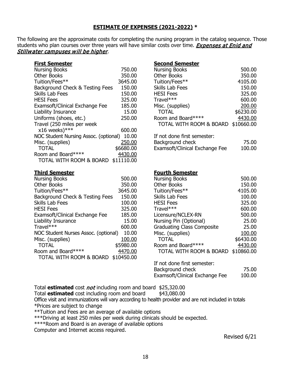### **ESTIMATE OF EXPENSES (2021-2022) \***

The following are the approximate costs for completing the nursing program in the catalog sequence. Those students who plan courses over three years will have similar costs over time. Expenses at Enid and Stillwater campuses will be higher.

#### **First Semester**

| <b>Nursing Books</b>                  | 750.00     |
|---------------------------------------|------------|
| <b>Other Books</b>                    | 350.00     |
| Tuition/Fees**                        | 3645.00    |
| Background Check & Testing Fees       | 150.00     |
| Skills Lab Fees                       | 150.00     |
| <b>HESI Fees</b>                      | 325.00     |
| Examsoft/Clinical Exchange Fee        | 185.00     |
| <b>Liability Insurance</b>            | 15.00      |
| Uniforms (shoes, etc.)                | 250.00     |
| Travel (250 miles per week            |            |
| $x16$ weeks)***                       | 600.00     |
| NOC Student Nursing Assoc. (optional) | 10.00      |
| Misc. (supplies)                      | 250.00     |
| <b>TOTAL</b>                          | \$6680.00  |
| Room and Board****                    | 4430.00    |
| TOTAL WITH ROOM & BOARD               | \$11110.00 |

#### **Third Semester**

| <b>Nursing Books</b>                 | 500.00     |
|--------------------------------------|------------|
| <b>Other Books</b>                   | 350.00     |
| Tuition/Fees**                       | 3645.00    |
| Background Check & Testing Fees      | 150.00     |
| <b>Skills Lab Fees</b>               | 100.00     |
| <b>HESI Fees</b>                     | 325.00     |
| Examsoft/Clinical Exchange Fee       | 185.00     |
| <b>Liability Insurance</b>           | 15.00      |
| Travel***                            | 600.00     |
| NOC Student Nurses Assoc. (optional) | 10.00      |
| Misc. (supplies)                     | 100.00     |
| <b>TOTAL</b>                         | \$5980.00  |
| Room and Board****                   | 4470.00    |
| TOTAL WITH ROOM & BOARD              | \$10450.00 |
|                                      |            |

#### **Second Semester**

| <b>Nursing Books</b>           | 500.00     |
|--------------------------------|------------|
| <b>Other Books</b>             | 350.00     |
| Tuition/Fees**                 | 4105.00    |
| <b>Skills Lab Fees</b>         | 150.00     |
| <b>HESI Fees</b>               | 325.00     |
| Travel***                      | 600.00     |
| Misc. (supplies)               | 200.00     |
| <b>TOTAL</b>                   | \$6230.00  |
| Room and Board****             | 4430.00    |
| TOTAL WITH ROOM & BOARD        | \$10660.00 |
| If not done first semester:    |            |
| Background check               | 75.00      |
| Examsoft/Clinical Exchange Fee | 100.00     |

#### **Fourth Semester**

| <b>Nursing Books</b>              | 500.00     |
|-----------------------------------|------------|
| <b>Other Books</b>                | 150.00     |
| Tuition/Fees**                    | 4105.00    |
| <b>Skills Lab Fees</b>            | 100.00     |
| <b>HESI Fees</b>                  | 325.00     |
| Travel***                         | 600.00     |
| Licensure/NCLEX-RN                | 500.00     |
| Nursing Pin (Optional)            | 25.00      |
| <b>Graduating Class Composite</b> | 25.00      |
| Misc. (supplies)                  | 100.00     |
| <b>TOTAL</b>                      | \$6430.00  |
| Room and Board****                | 4430.00    |
| TOTAL WITH ROOM & BOARD           | \$10860.00 |
|                                   |            |

If not done first semester:

| Background check               | 75.00  |
|--------------------------------|--------|
| Examsoft/Clinical Exchange Fee | 100.00 |

Total **estimated** cost *not* including room and board \$25,320.00<br>Total **estimated** cost including room and board \$43,080.00

Total **estimated** cost including room and board

Office visit and immunizations will vary according to health provider and are not included in totals \*Prices are subject to change

\*\*Tuition and Fees are an average of available options

\*\*\*Driving at least 250 miles per week during clinicals should be expected.

\*\*\*\*Room and Board is an average of available options

Computer and Internet access required.

Revised 6/21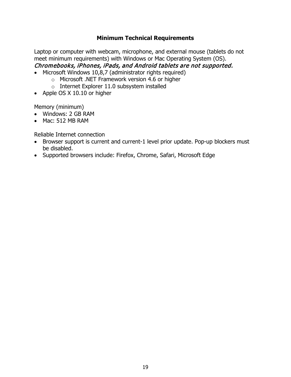### **Minimum Technical Requirements**

Laptop or computer with webcam, microphone, and external mouse (tablets do not meet minimum requirements) with Windows or Mac Operating System (OS). Chromebooks, iPhones, iPads, and Android tablets are not supported.

- Microsoft Windows 10,8,7 (administrator rights required)
	- o Microsoft .NET Framework version 4.6 or higher
	- $\circ$  Internet Explorer 11.0 subsystem installed
- Apple OS X 10.10 or higher

Memory (minimum)

- Windows: 2 GB RAM
- Mac: 512 MB RAM

Reliable Internet connection

- Browser support is current and current-1 level prior update. Pop-up blockers must be disabled.
- Supported browsers include: Firefox, Chrome, Safari, Microsoft Edge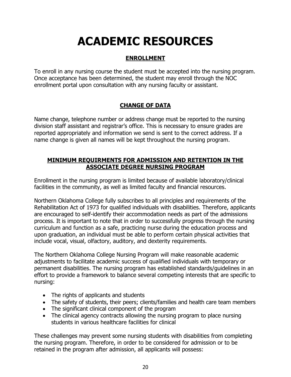# **ACADEMIC RESOURCES**

# **ENROLLMENT**

To enroll in any nursing course the student must be accepted into the nursing program. Once acceptance has been determined, the student may enroll through the NOC enrollment portal upon consultation with any nursing faculty or assistant.

# **CHANGE OF DATA**

Name change, telephone number or address change must be reported to the nursing division staff assistant and registrar's office. This is necessary to ensure grades are reported appropriately and information we send is sent to the correct address. If a name change is given all names will be kept throughout the nursing program.

## **MINIMUM REQUIRMENTS FOR ADMISSION AND RETENTION IN THE ASSOCIATE DEGREE NURSING PROGRAM**

Enrollment in the nursing program is limited because of available laboratory/clinical facilities in the community, as well as limited faculty and financial resources.

Northern Oklahoma College fully subscribes to all principles and requirements of the Rehabilitation Act of 1973 for qualified individuals with disabilities. Therefore, applicants are encouraged to self-identify their accommodation needs as part of the admissions process. It is important to note that in order to successfully progress through the nursing curriculum and function as a safe, practicing nurse during the education process and upon graduation, an individual must be able to perform certain physical activities that include vocal, visual, olfactory, auditory, and dexterity requirements.

The Northern Oklahoma College Nursing Program will make reasonable academic adjustments to facilitate academic success of qualified individuals with temporary or permanent disabilities. The nursing program has established standards/guidelines in an effort to provide a framework to balance several competing interests that are specific to nursing:

- The rights of applicants and students
- The safety of students, their peers; clients/families and health care team members
- The significant clinical component of the program
- The clinical agency contracts allowing the nursing program to place nursing students in various healthcare facilities for clinical

These challenges may prevent some nursing students with disabilities from completing the nursing program. Therefore, in order to be considered for admission or to be retained in the program after admission, all applicants will possess: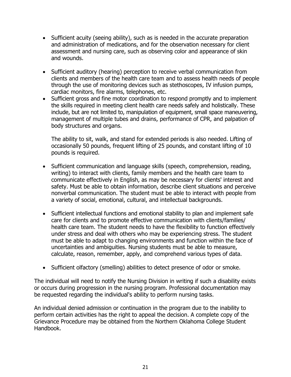- Sufficient acuity (seeing ability), such as is needed in the accurate preparation and administration of medications, and for the observation necessary for client assessment and nursing care, such as observing color and appearance of skin and wounds.
- Sufficient auditory (hearing) perception to receive verbal communication from clients and members of the health care team and to assess health needs of people through the use of monitoring devices such as stethoscopes, IV infusion pumps, cardiac monitors, fire alarms, telephones, etc.
- Sufficient gross and fine motor coordination to respond promptly and to implement the skills required in meeting client health care needs safely and holistically. These include, but are not limited to, manipulation of equipment, small space maneuvering, management of multiple tubes and drains, performance of CPR, and palpation of body structures and organs.

The ability to sit, walk, and stand for extended periods is also needed. Lifting of occasionally 50 pounds, frequent lifting of 25 pounds, and constant lifting of 10 pounds is required.

- Sufficient communication and language skills (speech, comprehension, reading, writing) to interact with clients, family members and the health care team to communicate effectively in English, as may be necessary for clients' interest and safety. Must be able to obtain information, describe client situations and perceive nonverbal communication. The student must be able to interact with people from a variety of social, emotional, cultural, and intellectual backgrounds.
- Sufficient intellectual functions and emotional stability to plan and implement safe care for clients and to promote effective communication with clients/families/ health care team. The student needs to have the flexibility to function effectively under stress and deal with others who may be experiencing stress. The student must be able to adapt to changing environments and function within the face of uncertainties and ambiguities. Nursing students must be able to measure, calculate, reason, remember, apply, and comprehend various types of data.
- Sufficient olfactory (smelling) abilities to detect presence of odor or smoke.

The individual will need to notify the Nursing Division in writing if such a disability exists or occurs during progression in the nursing program. Professional documentation may be requested regarding the individual's ability to perform nursing tasks.

An individual denied admission or continuation in the program due to the inability to perform certain activities has the right to appeal the decision. A complete copy of the Grievance Procedure may be obtained from the Northern Oklahoma College Student Handbook.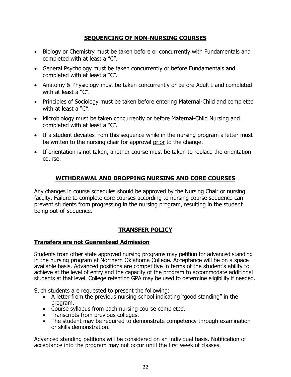## **SEQUENCING OF NON-NURSING COURSES**

- Biology or Chemistry must be taken before or concurrently with Fundamentals and completed with at least a "C".
- General Psychology must be taken concurrently or before Fundamentals and completed with at least a "C".
- Anatomy & Physiology must be taken concurrently or before Adult I and completed with at least a "C".
- Principles of Sociology must be taken before entering Maternal-Child and completed with at least a "C".
- Microbiology must be taken concurrently or before Maternal-Child Nursing and completed with at least a "C".
- If a student deviates from this sequence while in the nursing program a letter must be written to the nursing chair for approval prior to the change.
- If orientation is not taken, another course must be taken to replace the orientation course.

## **WITHDRAWAL AND DROPPING NURSING AND CORE COURSES**

Any changes in course schedules should be approved by the Nursing Chair or nursing faculty. Failure to complete core courses according to nursing course sequence can prevent students from progressing in the nursing program, resulting in the student being out-of-sequence.

# **TRANSFER POLICY**

### **Transfers are not Guaranteed Admission**

Students from other state approved nursing programs may petition for advanced standing in the nursing program at Northern Oklahoma College. Acceptance will be on a space available basis. Advanced positions are competitive in terms of the student's ability to achieve at the level of entry and the capacity of the program to accommodate additional students at that level. College retention GPA may be used to determine eligibility if needed.

Such students are requested to present the following:

- A letter from the previous nursing school indicating "good standing" in the program.
- Course syllabus from each nursing course completed.
- Transcripts from previous colleges.
- The student may be required to demonstrate competency through examination or skills demonstration.

Advanced standing petitions will be considered on an individual basis. Notification of acceptance into the program may not occur until the first week of classes.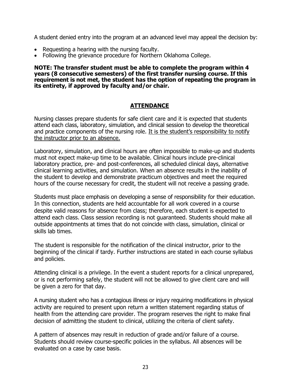A student denied entry into the program at an advanced level may appeal the decision by:

- Requesting a hearing with the nursing faculty.
- Following the grievance procedure for Northern Oklahoma College.

**NOTE: The transfer student must be able to complete the program within 4 years (8 consecutive semesters) of the first transfer nursing course. If this requirement is not met, the student has the option of repeating the program in its entirety, if approved by faculty and/or chair.**

## **ATTENDANCE**

Nursing classes prepare students for safe client care and it is expected that students attend each class, laboratory, simulation, and clinical session to develop the theoretical and practice components of the nursing role. It is the student's responsibility to notify the instructor prior to an absence.

Laboratory, simulation, and clinical hours are often impossible to make-up and students must not expect make-up time to be available. Clinical hours include pre-clinical laboratory practice, pre- and post-conferences, all scheduled clinical days, alternative clinical learning activities, and simulation. When an absence results in the inability of the student to develop and demonstrate practicum objectives and meet the required hours of the course necessary for credit, the student will not receive a passing grade.

Students must place emphasis on developing a sense of responsibility for their education. In this connection, students are held accountable for all work covered in a course despite valid reasons for absence from class; therefore, each student is expected to attend each class. Class session recording is not guaranteed. Students should make all outside appointments at times that do not coincide with class, simulation, clinical or skills lab times.

The student is responsible for the notification of the clinical instructor, prior to the beginning of the clinical if tardy. Further instructions are stated in each course syllabus and policies.

Attending clinical is a privilege. In the event a student reports for a clinical unprepared, or is not performing safely, the student will not be allowed to give client care and will be given a zero for that day.

A nursing student who has a contagious illness or injury requiring modifications in physical activity are required to present upon return a written statement regarding status of health from the attending care provider. The program reserves the right to make final decision of admitting the student to clinical, utilizing the criteria of client safety.

A pattern of absences may result in reduction of grade and/or failure of a course. Students should review course-specific policies in the syllabus. All absences will be evaluated on a case by case basis.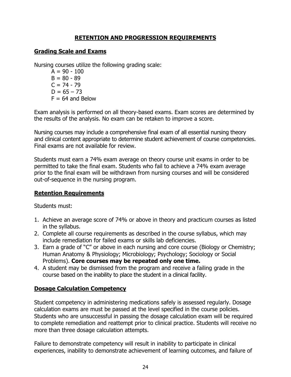### **RETENTION AND PROGRESSION REQUIREMENTS**

### **Grading Scale and Exams**

Nursing courses utilize the following grading scale:

 $A = 90 - 100$  $B = 80 - 89$  $C = 74 - 79$  $D = 65 - 73$  $F = 64$  and Below

Exam analysis is performed on all theory-based exams. Exam scores are determined by the results of the analysis. No exam can be retaken to improve a score.

Nursing courses may include a comprehensive final exam of all essential nursing theory and clinical content appropriate to determine student achievement of course competencies. Final exams are not available for review.

Students must earn a 74% exam average on theory course unit exams in order to be permitted to take the final exam. Students who fail to achieve a 74% exam average prior to the final exam will be withdrawn from nursing courses and will be considered out-of-sequence in the nursing program.

### **Retention Requirements**

Students must:

- 1. Achieve an average score of 74% or above in theory and practicum courses as listed in the syllabus.
- 2. Complete all course requirements as described in the course syllabus, which may include remediation for failed exams or skills lab deficiencies.
- 3. Earn a grade of "C" or above in each nursing and core course (Biology or Chemistry; Human Anatomy & Physiology; Microbiology; Psychology; Sociology or Social Problems). **Core courses may be repeated only one time.**
- 4. A student may be dismissed from the program and receive a failing grade in the course based on the inability to place the student in a clinical facility.

## **Dosage Calculation Competency**

Student competency in administering medications safely is assessed regularly. Dosage calculation exams are must be passed at the level specified in the course policies. Students who are unsuccessful in passing the dosage calculation exam will be required to complete remediation and reattempt prior to clinical practice. Students will receive no more than three dosage calculation attempts.

Failure to demonstrate competency will result in inability to participate in clinical experiences, inability to demonstrate achievement of learning outcomes, and failure of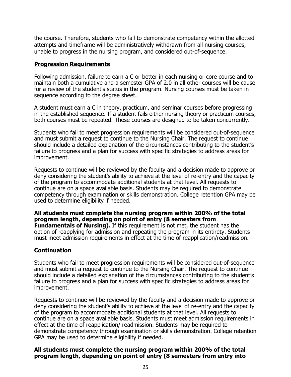the course. Therefore, students who fail to demonstrate competency within the allotted attempts and timeframe will be administratively withdrawn from all nursing courses, unable to progress in the nursing program, and considered out-of-sequence.

### **Progression Requirements**

Following admission, failure to earn a C or better in each nursing or core course and to maintain both a cumulative and a semester GPA of 2.0 in all other courses will be cause for a review of the student's status in the program. Nursing courses must be taken in sequence according to the degree sheet.

A student must earn a C in theory, practicum, and seminar courses before progressing in the established sequence. If a student fails either nursing theory or practicum courses, both courses must be repeated. These courses are designed to be taken concurrently.

Students who fail to meet progression requirements will be considered out-of-sequence and must submit a request to continue to the Nursing Chair. The request to continue should include a detailed explanation of the circumstances contributing to the student's failure to progress and a plan for success with specific strategies to address areas for improvement.

Requests to continue will be reviewed by the faculty and a decision made to approve or deny considering the student's ability to achieve at the level of re-entry and the capacity of the program to accommodate additional students at that level. All requests to continue are on a space available basis. Students may be required to demonstrate competency through examination or skills demonstration. College retention GPA may be used to determine eligibility if needed.

**All students must complete the nursing program within 200% of the total program length, depending on point of entry (8 semesters from Fundamentals of Nursing).** If this requirement is not met, the student has the option of reapplying for admission and repeating the program in its entirety. Students must meet admission requirements in effect at the time of reapplication/readmission.

### **Continuation**

Students who fail to meet progression requirements will be considered out-of-sequence and must submit a request to continue to the Nursing Chair. The request to continue should include a detailed explanation of the circumstances contributing to the student's failure to progress and a plan for success with specific strategies to address areas for improvement.

Requests to continue will be reviewed by the faculty and a decision made to approve or deny considering the student's ability to achieve at the level of re-entry and the capacity of the program to accommodate additional students at that level. All requests to continue are on a space available basis. Students must meet admission requirements in effect at the time of reapplication/ readmission. Students may be required to demonstrate competency through examination or skills demonstration. College retention GPA may be used to determine eligibility if needed.

### **All students must complete the nursing program within 200% of the total program length, depending on point of entry (8 semesters from entry into**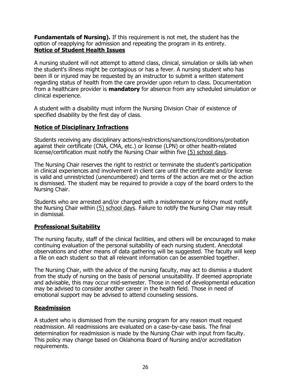**Fundamentals of Nursing).** If this requirement is not met, the student has the option of reapplying for admission and repeating the program in its entirety. **Notice of Student Health Issues** 

A nursing student will not attempt to attend class, clinical, simulation or skills lab when the student's illness might be contagious or has a fever. A nursing student who has been ill or injured may be requested by an instructor to submit a written statement regarding status of health from the care provider upon return to class. Documentation from a healthcare provider is **mandatory** for absence from any scheduled simulation or clinical experience.

A student with a disability must inform the Nursing Division Chair of existence of specified disability by the first day of class.

### **Notice of Disciplinary Infractions**

Students receiving any disciplinary actions/restrictions/sanctions/conditions/probation against their certificate (CNA, CMA, etc.) or license (LPN) or other health-related license/certification must notify the Nursing Chair within five (5) school days.

The Nursing Chair reserves the right to restrict or terminate the student's participation in clinical experiences and involvement in client care until the certificate and/or license is valid and unrestricted (unencumbered) and terms of the action are met or the action is dismissed. The student may be required to provide a copy of the board orders to the Nursing Chair.

Students who are arrested and/or charged with a misdemeanor or felony must notify the Nursing Chair within (5) school days. Failure to notify the Nursing Chair may result in dismissal.

### **Professional Suitability**

The nursing faculty, staff of the clinical facilities, and others will be encouraged to make continuing evaluation of the personal suitability of each nursing student. Anecdotal observations and other means of data gathering will be suggested. The faculty will keep a file on each student so that all relevant information can be assembled together.

The Nursing Chair, with the advice of the nursing faculty, may act to dismiss a student from the study of nursing on the basis of personal unsuitability. If deemed appropriate and advisable, this may occur mid-semester. Those in need of developmental education may be advised to consider another career in the health field. Those in need of emotional support may be advised to attend counseling sessions.

### **Readmission**

A student who is dismissed from the nursing program for any reason must request readmission. All readmissions are evaluated on a case-by-case basis. The final determination for readmission is made by the Nursing Chair with input from faculty. This policy may change based on Oklahoma Board of Nursing and/or accreditation requirements.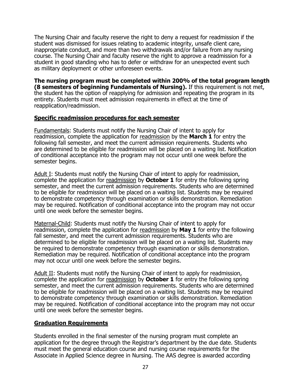The Nursing Chair and faculty reserve the right to deny a request for readmission if the student was dismissed for issues relating to academic integrity, unsafe client care, inappropriate conduct, and more than two withdrawals and/or failure from any nursing course. The Nursing Chair and faculty reserve the right to approve a readmission for a student in good standing who has to defer or withdraw for an unexpected event such as military deployment or other unforeseen events.

**The nursing program must be completed within 200% of the total program length (8 semesters of beginning Fundamentals of Nursing).** If this requirement is not met, the student has the option of reapplying for admission and repeating the program in its entirety. Students must meet admission requirements in effect at the time of reapplication/readmission.

### **Specific readmission procedures for each semester**

Fundamentals: Students must notify the Nursing Chair of intent to apply for readmission, complete the application for readmission by the **March 1** for entry the following fall semester, and meet the current admission requirements. Students who are determined to be eligible for readmission will be placed on a waiting list. Notification of conditional acceptance into the program may not occur until one week before the semester begins.

Adult I: Students must notify the Nursing Chair of intent to apply for readmission, complete the application for readmission by **October 1** for entry the following spring semester, and meet the current admission requirements. Students who are determined to be eligible for readmission will be placed on a waiting list. Students may be required to demonstrate competency through examination or skills demonstration. Remediation may be required. Notification of conditional acceptance into the program may not occur until one week before the semester begins.

Maternal-Child: Students must notify the Nursing Chair of intent to apply for readmission, complete the application for readmission by **May 1** for entry the following fall semester, and meet the current admission requirements. Students who are determined to be eligible for readmission will be placed on a waiting list. Students may be required to demonstrate competency through examination or skills demonstration. Remediation may be required. Notification of conditional acceptance into the program may not occur until one week before the semester begins.

Adult II: Students must notify the Nursing Chair of intent to apply for readmission, complete the application for readmission by **October 1** for entry the following spring semester, and meet the current admission requirements. Students who are determined to be eligible for readmission will be placed on a waiting list. Students may be required to demonstrate competency through examination or skills demonstration. Remediation may be required. Notification of conditional acceptance into the program may not occur until one week before the semester begins.

### **Graduation Requirements**

Students enrolled in the final semester of the nursing program must complete an application for the degree through the Registrar's department by the due date. Students must meet the general education course and nursing course requirements for the Associate in Applied Science degree in Nursing. The AAS degree is awarded according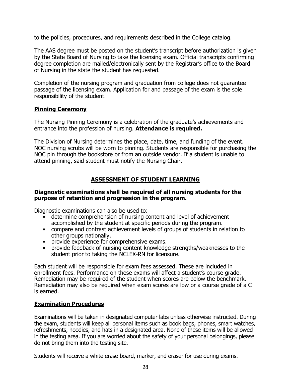to the policies, procedures, and requirements described in the College catalog.

The AAS degree must be posted on the student's transcript before authorization is given by the State Board of Nursing to take the licensing exam. Official transcripts confirming degree completion are mailed/electronically sent by the Registrar's office to the Board of Nursing in the state the student has requested.

Completion of the nursing program and graduation from college does not guarantee passage of the licensing exam. Application for and passage of the exam is the sole responsibility of the student.

### **Pinning Ceremony**

The Nursing Pinning Ceremony is a celebration of the graduate's achievements and entrance into the profession of nursing. **Attendance is required.**

The Division of Nursing determines the place, date, time, and funding of the event. NOC nursing scrubs will be worn to pinning. Students are responsible for purchasing the NOC pin through the bookstore or from an outside vendor. If a student is unable to attend pinning, said student must notify the Nursing Chair.

## **ASSESSMENT OF STUDENT LEARNING**

### **Diagnostic examinations shall be required of all nursing students for the purpose of retention and progression in the program.**

Diagnostic examinations can also be used to:

- determine comprehension of nursing content and level of achievement accomplished by the student at specific periods during the program.
- compare and contrast achievement levels of groups of students in relation to other groups nationally.
- provide experience for comprehensive exams.
- provide feedback of nursing content knowledge strengths/weaknesses to the student prior to taking the NCLEX-RN for licensure.

Each student will be responsible for exam fees assessed. These are included in enrollment fees. Performance on these exams will affect a student's course grade. Remediation may be required of the student when scores are below the benchmark. Remediation may also be required when exam scores are low or a course grade of a C is earned.

### **Examination Procedures**

Examinations will be taken in designated computer labs unless otherwise instructed. During the exam, students will keep all personal items such as book bags, phones, smart watches, refreshments, hoodies, and hats in a designated area. None of these items will be allowed in the testing area. If you are worried about the safety of your personal belongings, please do not bring them into the testing site.

Students will receive a white erase board, marker, and eraser for use during exams.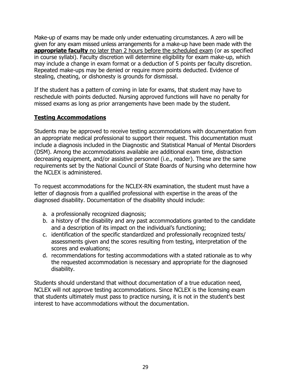Make-up of exams may be made only under extenuating circumstances. A zero will be given for any exam missed unless arrangements for a make-up have been made with the **appropriate faculty** no later than 2 hours before the scheduled exam (or as specified in course syllabi). Faculty discretion will determine eligibility for exam make-up, which may include a change in exam format or a deduction of 5 points per faculty discretion. Repeated make-ups may be denied or require more points deducted. Evidence of stealing, cheating, or dishonesty is grounds for dismissal.

If the student has a pattern of coming in late for exams, that student may have to reschedule with points deducted. Nursing approved functions will have no penalty for missed exams as long as prior arrangements have been made by the student.

## **Testing Accommodations**

Students may be approved to receive testing accommodations with documentation from an appropriate medical professional to support their request. This documentation must include a diagnosis included in the Diagnostic and Statistical Manual of Mental Disorders (DSM). Among the accommodations available are additional exam time, distraction decreasing equipment, and/or assistive personnel (i.e., reader). These are the same requirements set by the National Council of State Boards of Nursing who determine how the NCLEX is administered.

To request accommodations for the NCLEX-RN examination, the student must have a letter of diagnosis from a qualified professional with expertise in the areas of the diagnosed disability. Documentation of the disability should include:

- a. a professionally recognized diagnosis;
- b. a history of the disability and any past accommodations granted to the candidate and a description of its impact on the individual's functioning;
- c. identification of the specific standardized and professionally recognized tests/ assessments given and the scores resulting from testing, interpretation of the scores and evaluations;
- d. recommendations for testing accommodations with a stated rationale as to why the requested accommodation is necessary and appropriate for the diagnosed disability.

Students should understand that without documentation of a true education need, NCLEX will not approve testing accommodations. Since NCLEX is the licensing exam that students ultimately must pass to practice nursing, it is not in the student's best interest to have accommodations without the documentation.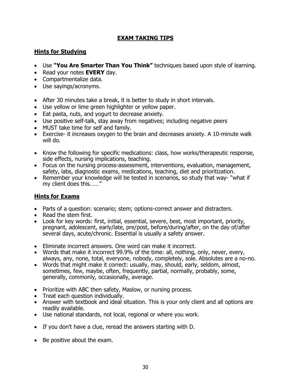## **EXAM TAKING TIPS**

## **Hints for Studying**

- Use **"You Are Smarter Than You Think"** techniques based upon style of learning.
- Read your notes **EVERY** day.
- Compartmentalize data.
- Use sayings/acronyms.
- After 30 minutes take a break, it is better to study in short intervals.
- Use yellow or lime green highlighter or yellow paper.
- Eat pasta, nuts, and yogurt to decrease anxiety.
- Use positive self-talk, stay away from negatives; including negative peers
- MUST take time for self and family.
- Exercise- it increases oxygen to the brain and decreases anxiety. A 10-minute walk will do.
- Know the following for specific medications: class, how works/therapeutic response, side effects, nursing implications, teaching.
- Focus on the nursing process-assessment, interventions, evaluation, management, safety, labs, diagnostic exams, medications, teaching, diet and prioritization.
- Remember your knowledge will be tested in scenarios, so study that way- "what if my client does this……"

## **Hints for Exams**

- Parts of a question: scenario; stem; options-correct answer and distracters.
- Read the stem first.
- Look for key words: first, initial, essential, severe, best, most important, priority, pregnant, adolescent, early/late, pre/post, before/during/after, on the day of/after several days, acute/chronic. Essential is usually a safety answer.
- Eliminate incorrect answers. One word can make it incorrect.
- Words that make it incorrect 99.9% of the time: all, nothing, only, never, every, always, any, none, total, everyone, nobody, completely, sole. Absolutes are a no-no.
- Words that might make it correct: usually, may, should, early, seldom, almost, sometimes, few, maybe, often, frequently, partial, normally, probably, some, generally, commonly, occasionally, average.
- Prioritize with ABC then safety, Maslow, or nursing process.
- Treat each question individually.
- Answer with textbook and ideal situation. This is your only client and all options are readily available.
- Use national standards, not local, regional or where you work.
- If you don't have a clue, reread the answers starting with D.
- Be positive about the exam.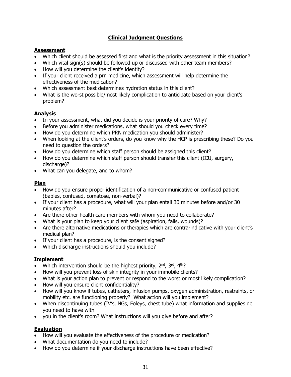### **Clinical Judgment Questions**

### **Assessment**

- Which client should be assessed first and what is the priority assessment in this situation?
- Which vital sign(s) should be followed up or discussed with other team members?
- How will you determine the client's identity?
- If your client received a prn medicine, which assessment will help determine the effectiveness of the medication?
- Which assessment best determines hydration status in this client?
- What is the worst possible/most likely complication to anticipate based on your client's problem?

### **Analysis**

- In your assessment, what did you decide is your priority of care? Why?
- Before you administer medications, what should you check every time?
- How do you determine which PRN medication you should administer?
- When looking at the client's orders, do you know why the HCP is prescribing these? Do you need to question the orders?
- How do you determine which staff person should be assigned this client?
- How do you determine which staff person should transfer this client (ICU, surgery, discharge)?
- What can you delegate, and to whom?

### **Plan**

- How do you ensure proper identification of a non-communicative or confused patient (babies, confused, comatose, non-verbal)?
- If your client has a procedure, what will your plan entail 30 minutes before and/or 30 minutes after?
- Are there other health care members with whom you need to collaborate?
- What is your plan to keep your client safe (aspiration, falls, wounds)?
- Are there alternative medications or therapies which are contra-indicative with your client's medical plan?
- If your client has a procedure, is the consent signed?
- Which discharge instructions should you include?

### **Implement**

- Which intervention should be the highest priority,  $2^{nd}$ ,  $3^{rd}$ ,  $4^{th}$ ?
- How will you prevent loss of skin integrity in your immobile clients?
- What is your action plan to prevent or respond to the worst or most likely complication?
- How will you ensure client confidentiality?
- How will you know if tubes, catheters, infusion pumps, oxygen administration, restraints, or mobility etc. are functioning properly? What action will you implement?
- When discontinuing tubes (IV's, NGs, Foleys, chest tube) what information and supplies do you need to have with
- you in the client's room? What instructions will you give before and after?

### **Evaluation**

- How will you evaluate the effectiveness of the procedure or medication?
- What documentation do you need to include?
- How do you determine if your discharge instructions have been effective?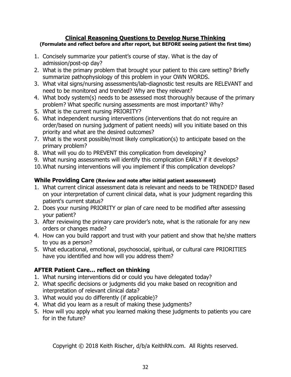#### **Clinical Reasoning Questions to Develop Nurse Thinking (Formulate and reflect before and after report, but BEFORE seeing patient the first time)**

- 1. Concisely summarize your patient's course of stay. What is the day of admission/post-op day?
- 2. What is the primary problem that brought your patient to this care setting? Briefly summarize pathophysiology of this problem in your OWN WORDS.
- 3. What vital signs/nursing assessments/lab-diagnostic test results are RELEVANT and need to be monitored and trended? Why are they relevant?
- 4. What body system(s) needs to be assessed most thoroughly because of the primary problem? What specific nursing assessments are most important? Why?
- 5. What is the current nursing PRIORITY?
- 6. What independent nursing interventions (interventions that do not require an order/based on nursing judgment of patient needs) will you initiate based on this priority and what are the desired outcomes?
- 7. What is the worst possible/most likely complication(s) to anticipate based on the primary problem?
- 8. What will you do to PREVENT this complication from developing?
- 9. What nursing assessments will identify this complication EARLY if it develops?
- 10.What nursing interventions will you implement if this complication develops?

## **While Providing Care (Review and note after initial patient assessment)**

- 1. What current clinical assessment data is relevant and needs to be TRENDED? Based on your interpretation of current clinical data, what is your judgment regarding this patient's current status?
- 2. Does your nursing PRIORITY or plan of care need to be modified after assessing your patient?
- 3. After reviewing the primary care provider's note, what is the rationale for any new orders or changes made?
- 4. How can you build rapport and trust with your patient and show that he/she matters to you as a person?
- 5. What educational, emotional, psychosocial, spiritual, or cultural care PRIORITIES have you identified and how will you address them?

# **AFTER Patient Care… reflect on thinking**

- 1. What nursing interventions did or could you have delegated today?
- 2. What specific decisions or judgments did you make based on recognition and interpretation of relevant clinical data?
- 3. What would you do differently (if applicable)?
- 4. What did you learn as a result of making these judgments?
- 5. How will you apply what you learned making these judgments to patients you care for in the future?

Copyright © 2018 Keith Rischer, d/b/a KeithRN.com. All Rights reserved.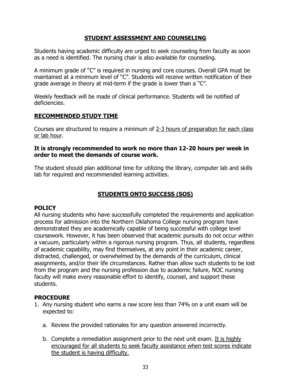### **STUDENT ASSESSMENT AND COUNSELING**

Students having academic difficulty are urged to seek counseling from faculty as soon as a need is identified. The nursing chair is also available for counseling.

A minimum grade of "C" is required in nursing and core courses. Overall GPA must be maintained at a minimum level of "C". Students will receive written notification of their grade average in theory at mid-term if the grade is lower than a "C".

Weekly feedback will be made of clinical performance. Students will be notified of deficiencies.

### **RECOMMENDED STUDY TIME**

Courses are structured to require a minimum of 2-3 hours of preparation for each class or lab hour.

### **It is strongly recommended to work no more than 12-20 hours per week in order to meet the demands of course work.**

The student should plan additional time for utilizing the library, computer lab and skills lab for required and recommended learning activities.

## **STUDENTS ONTO SUCCESS (SOS)**

### **POLICY**

All nursing students who have successfully completed the requirements and application process for admission into the Northern Oklahoma College nursing program have demonstrated they are academically capable of being successful with college level coursework. However, it has been observed that academic pursuits do not occur within a vacuum, particularly within a rigorous nursing program. Thus, all students, regardless of academic capability, may find themselves, at any point in their academic career, distracted, challenged, or overwhelmed by the demands of the curriculum, clinical assignments, and/or their life circumstances. Rather than allow such students to be lost from the program and the nursing profession due to academic failure, NOC nursing faculty will make every reasonable effort to identify, counsel, and support these students.

### **PROCEDURE**

- 1. Any nursing student who earns a raw score less than 74% on a unit exam will be expected to:
	- a. Review the provided rationales for any question answered incorrectly.
	- b. Complete a remediation assignment prior to the next unit exam. It is highly encouraged for all students to seek faculty assistance when test scores indicate the student is having difficulty.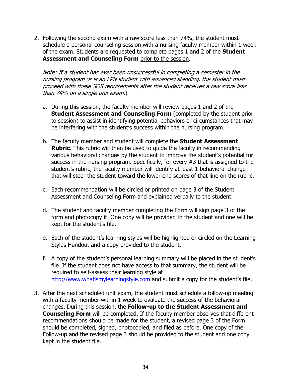2. Following the second exam with a raw score less than 74%, the student must schedule a personal counseling session with a nursing faculty member within 1 week of the exam. Students are requested to complete pages 1 and 2 of the **Student Assessment and Counseling Form** prior to the session.

Note: If a student has ever been unsuccessful in completing a semester in the nursing program or is an LPN student with advanced standing, the student must proceed with these SOS requirements after the student receives a raw score less than 74% on a single unit exam.)

- a. During this session, the faculty member will review pages 1 and 2 of the **Student Assessment and Counseling Form** (completed by the student prior to session) to assist in identifying potential behaviors or circumstances that may be interfering with the student's success within the nursing program.
- b. The faculty member and student will complete the **Student Assessment Rubric**. This rubric will then be used to guide the faculty in recommending various behavioral changes by the student to improve the student's potential for success in the nursing program. Specifically, for every #3 that is assigned to the student's rubric, the faculty member will identify at least 1 behavioral change that will steer the student toward the lower end scores of that line on the rubric.
- c. Each recommendation will be circled or printed on page 3 of the Student Assessment and Counseling Form and explained verbally to the student.
- d. The student and faculty member completing the Form will sign page 3 of the form and photocopy it. One copy will be provided to the student and one will be kept for the student's file.
- e. Each of the student's learning styles will be highlighted or circled on the Learning Styles Handout and a copy provided to the student.
- f. A copy of the student's personal learning summary will be placed in the student's file. If the student does not have access to that summary, the student will be required to self-assess their learning style at [http://www.whatismylearningstyle.com](http://www.whatismylearningstyle.com/) and submit a copy for the student's file.
- 3. After the next scheduled unit exam, the student must schedule a follow-up meeting with a faculty member within 1 week to evaluate the success of the behavioral changes. During this session, the **Follow-up to the Student Assessment and Counseling Form** will be completed. If the faculty member observes that different recommendations should be made for the student, a revised page 3 of the Form should be completed, signed, photocopied, and filed as before. One copy of the Follow-up and the revised page 3 should be provided to the student and one copy kept in the student file.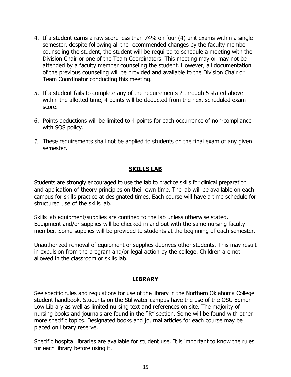- 4. If a student earns a raw score less than 74% on four (4) unit exams within a single semester, despite following all the recommended changes by the faculty member counseling the student, the student will be required to schedule a meeting with the Division Chair or one of the Team Coordinators. This meeting may or may not be attended by a faculty member counseling the student. However, all documentation of the previous counseling will be provided and available to the Division Chair or Team Coordinator conducting this meeting.
- 5. If a student fails to complete any of the requirements 2 through 5 stated above within the allotted time, 4 points will be deducted from the next scheduled exam score.
- 6. Points deductions will be limited to 4 points for each occurrence of non-compliance with SOS policy.
- 7. These requirements shall not be applied to students on the final exam of any given semester.

#### **SKILLS LAB**

Students are strongly encouraged to use the lab to practice skills for clinical preparation and application of theory principles on their own time. The lab will be available on each campus for skills practice at designated times. Each course will have a time schedule for structured use of the skills lab.

Skills lab equipment/supplies are confined to the lab unless otherwise stated. Equipment and/or supplies will be checked in and out with the same nursing faculty member. Some supplies will be provided to students at the beginning of each semester.

Unauthorized removal of equipment or supplies deprives other students. This may result in expulsion from the program and/or legal action by the college. Children are not allowed in the classroom or skills lab.

#### **LIBRARY**

See specific rules and regulations for use of the library in the Northern Oklahoma College student handbook. Students on the Stillwater campus have the use of the OSU Edmon Low Library as well as limited nursing text and references on site. The majority of nursing books and journals are found in the "R" section. Some will be found with other more specific topics. Designated books and journal articles for each course may be placed on library reserve.

Specific hospital libraries are available for student use. It is important to know the rules for each library before using it.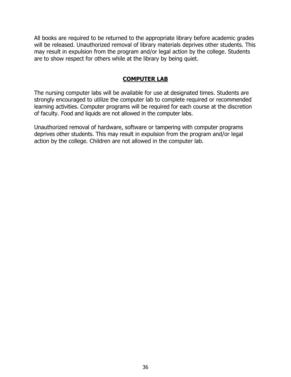All books are required to be returned to the appropriate library before academic grades will be released. Unauthorized removal of library materials deprives other students. This may result in expulsion from the program and/or legal action by the college. Students are to show respect for others while at the library by being quiet.

#### **COMPUTER LAB**

The nursing computer labs will be available for use at designated times. Students are strongly encouraged to utilize the computer lab to complete required or recommended learning activities. Computer programs will be required for each course at the discretion of faculty. Food and liquids are not allowed in the computer labs.

Unauthorized removal of hardware, software or tampering with computer programs deprives other students. This may result in expulsion from the program and/or legal action by the college. Children are not allowed in the computer lab.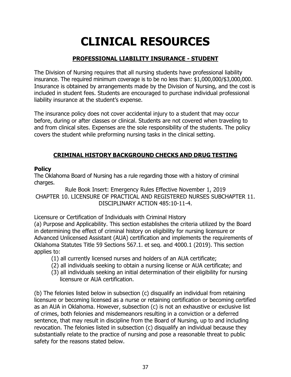# **CLINICAL RESOURCES**

# **PROFESSIONAL LIABILITY INSURANCE - STUDENT**

The Division of Nursing requires that all nursing students have professional liability insurance. The required minimum coverage is to be no less than: \$1,000,000/\$3,000,000. Insurance is obtained by arrangements made by the Division of Nursing, and the cost is included in student fees. Students are encouraged to purchase individual professional liability insurance at the student's expense.

The insurance policy does not cover accidental injury to a student that may occur before, during or after classes or clinical. Students are not covered when traveling to and from clinical sites. Expenses are the sole responsibility of the students. The policy covers the student while preforming nursing tasks in the clinical setting.

# **CRIMINAL HISTORY BACKGROUND CHECKS AND DRUG TESTING**

## **Policy**

The Oklahoma Board of Nursing has a rule regarding those with a history of criminal charges.

Rule Book Insert: Emergency Rules Effective November 1, 2019 CHAPTER 10. LICENSURE OF PRACTICAL AND REGISTERED NURSES SUBCHAPTER 11. DISCIPLINARY ACTION 485:10-11-4.

Licensure or Certification of Individuals with Criminal History

(a) Purpose and Applicability. This section establishes the criteria utilized by the Board in determining the effect of criminal history on eligibility for nursing licensure or Advanced Unlicensed Assistant (AUA) certification and implements the requirements of Oklahoma Statutes Title 59 Sections 567.1. et seq. and 4000.1 (2019). This section applies to:

- (1) all currently licensed nurses and holders of an AUA certificate;
- (2) all individuals seeking to obtain a nursing license or AUA certificate; and
- (3) all individuals seeking an initial determination of their eligibility for nursing licensure or AUA certification.

(b) The felonies listed below in subsection (c) disqualify an individual from retaining licensure or becoming licensed as a nurse or retaining certification or becoming certified as an AUA in Oklahoma. However, subsection (c) is not an exhaustive or exclusive list of crimes, both felonies and misdemeanors resulting in a conviction or a deferred sentence, that may result in discipline from the Board of Nursing, up to and including revocation. The felonies listed in subsection (c) disqualify an individual because they substantially relate to the practice of nursing and pose a reasonable threat to public safety for the reasons stated below.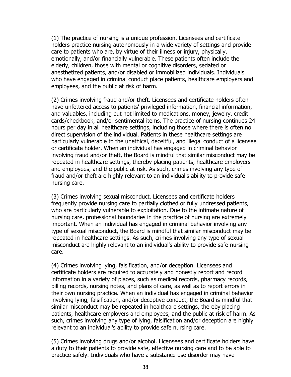(1) The practice of nursing is a unique profession. Licensees and certificate holders practice nursing autonomously in a wide variety of settings and provide care to patients who are, by virtue of their illness or injury, physically, emotionally, and/or financially vulnerable. These patients often include the elderly, children, those with mental or cognitive disorders, sedated or anesthetized patients, and/or disabled or immobilized individuals. Individuals who have engaged in criminal conduct place patients, healthcare employers and employees, and the public at risk of harm.

(2) Crimes involving fraud and/or theft. Licensees and certificate holders often have unfettered access to patients' privileged information, financial information, and valuables, including but not limited to medications, money, jewelry, credit cards/checkbook, and/or sentimental items. The practice of nursing continues 24 hours per day in all healthcare settings, including those where there is often no direct supervision of the individual. Patients in these healthcare settings are particularly vulnerable to the unethical, deceitful, and illegal conduct of a licensee or certificate holder. When an individual has engaged in criminal behavior involving fraud and/or theft, the Board is mindful that similar misconduct may be repeated in healthcare settings, thereby placing patients, healthcare employers and employees, and the public at risk. As such, crimes involving any type of fraud and/or theft are highly relevant to an individual's ability to provide safe nursing care.

(3) Crimes involving sexual misconduct. Licensees and certificate holders frequently provide nursing care to partially clothed or fully undressed patients, who are particularly vulnerable to exploitation. Due to the intimate nature of nursing care, professional boundaries in the practice of nursing are extremely important. When an individual has engaged in criminal behavior involving any type of sexual misconduct, the Board is mindful that similar misconduct may be repeated in healthcare settings. As such, crimes involving any type of sexual misconduct are highly relevant to an individual's ability to provide safe nursing care.

(4) Crimes involving lying, falsification, and/or deception. Licensees and certificate holders are required to accurately and honestly report and record information in a variety of places, such as medical records, pharmacy records, billing records, nursing notes, and plans of care, as well as to report errors in their own nursing practice. When an individual has engaged in criminal behavior involving lying, falsification, and/or deceptive conduct, the Board is mindful that similar misconduct may be repeated in healthcare settings, thereby placing patients, healthcare employers and employees, and the public at risk of harm. As such, crimes involving any type of lying, falsification and/or deception are highly relevant to an individual's ability to provide safe nursing care.

(5) Crimes involving drugs and/or alcohol. Licensees and certificate holders have a duty to their patients to provide safe, effective nursing care and to be able to practice safely. Individuals who have a substance use disorder may have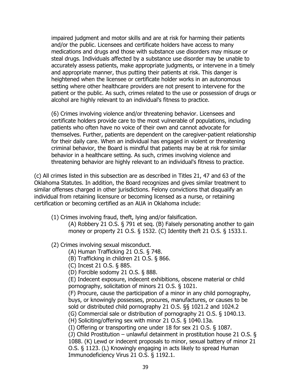impaired judgment and motor skills and are at risk for harming their patients and/or the public. Licensees and certificate holders have access to many medications and drugs and those with substance use disorders may misuse or steal drugs. Individuals affected by a substance use disorder may be unable to accurately assess patients, make appropriate judgments, or intervene in a timely and appropriate manner, thus putting their patients at risk. This danger is heightened when the licensee or certificate holder works in an autonomous setting where other healthcare providers are not present to intervene for the patient or the public. As such, crimes related to the use or possession of drugs or alcohol are highly relevant to an individual's fitness to practice.

(6) Crimes involving violence and/or threatening behavior. Licensees and certificate holders provide care to the most vulnerable of populations, including patients who often have no voice of their own and cannot advocate for themselves. Further, patients are dependent on the caregiver-patient relationship for their daily care. When an individual has engaged in violent or threatening criminal behavior, the Board is mindful that patients may be at risk for similar behavior in a healthcare setting. As such, crimes involving violence and threatening behavior are highly relevant to an individual's fitness to practice.

(c) All crimes listed in this subsection are as described in Titles 21, 47 and 63 of the Oklahoma Statutes. In addition, the Board recognizes and gives similar treatment to similar offenses charged in other jurisdictions. Felony convictions that disqualify an individual from retaining licensure or becoming licensed as a nurse, or retaining certification or becoming certified as an AUA in Oklahoma include:

(1) Crimes involving fraud, theft, lying and/or falsification.

(A) Robbery 21 O.S. § 791 et seq. (B) Falsely personating another to gain money or property 21 O.S. § 1532. (C) Identity theft 21 O.S. § 1533.1.

- (2) Crimes involving sexual misconduct.
	- (A) Human Trafficking 21 O.S. § 748.
	- (B) Trafficking in children 21 O.S. § 866.
	- (C) Incest 21 O.S. § 885.
	- (D) Forcible sodomy 21 O.S. § 888.

(E) Indecent exposure, indecent exhibitions, obscene material or child pornography, solicitation of minors 21 O.S. § 1021.

(F) Procure, cause the participation of a minor in any child pornography, buys, or knowingly possesses, procures, manufactures, or causes to be sold or distributed child pornography 21 O.S. §§ 1021.2 and 1024.2

- (G) Commercial sale or distribution of pornography 21 O.S. § 1040.13.
- (H) Soliciting/offering sex with minor 21 O.S. § 1040.13a.

(I) Offering or transporting one under 18 for sex 21 O.S. § 1087.

(J) Child Prostitution – unlawful detainment in prostitution house 21 O.S. § 1088. (K) Lewd or indecent proposals to minor, sexual battery of minor 21 O.S. § 1123. (L) Knowingly engaging in acts likely to spread Human Immunodeficiency Virus 21 O.S. § 1192.1.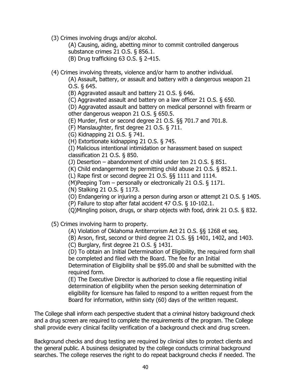(3) Crimes involving drugs and/or alcohol.

(A) Causing, aiding, abetting minor to commit controlled dangerous substance crimes 21 O.S. § 856.1.

(B) Drug trafficking 63 O.S. § 2-415.

(4) Crimes involving threats, violence and/or harm to another individual.

(A) Assault, battery, or assault and battery with a dangerous weapon 21 O.S. § 645.

(B) Aggravated assault and battery 21 O.S. § 646.

(C) Aggravated assault and battery on a law officer 21 O.S. § 650.

(D) Aggravated assault and battery on medical personnel with firearm or other dangerous weapon 21 O.S. § 650.5.

(E) Murder, first or second degree 21 O.S. §§ 701.7 and 701.8.

(F) Manslaughter, first degree 21 O.S. § 711.

(G) Kidnapping 21 O.S. § 741.

(H) Extortionate kidnapping 21 O.S. § 745.

(I) Malicious intentional intimidation or harassment based on suspect classification 21 O.S. § 850.

(J) Desertion – abandonment of child under ten 21 O.S. § 851.

(K) Child endangerment by permitting child abuse 21 O.S. § 852.1.

(L) Rape first or second degree 21 O.S. §§ 1111 and 1114.

(M)Peeping Tom – personally or electronically 21 O.S. § 1171.

(N) Stalking 21 O.S. § 1173.

(O) Endangering or injuring a person during arson or attempt 21 O.S. § 1405.

(P) Failure to stop after fatal accident 47 O.S. § 10-102.1.

(Q)Mingling poison, drugs, or sharp objects with food, drink 21 O.S. § 832.

(5) Crimes involving harm to property.

(A) Violation of Oklahoma Antiterrorism Act 21 O.S. §§ 1268 et seq.

(B) Arson, first, second or third degree 21 O.S. §§ 1401, 1402, and 1403.

(C) Burglary, first degree 21 O.S. § 1431.

(D) To obtain an Initial Determination of Eligibility, the required form shall be completed and filed with the Board. The fee for an Initial

Determination of Eligibility shall be \$95.00 and shall be submitted with the required form.

(E) The Executive Director is authorized to close a file requesting initial determination of eligibility when the person seeking determination of eligibility for licensure has failed to respond to a written request from the Board for information, within sixty (60) days of the written request.

The College shall inform each perspective student that a criminal history background check and a drug screen are required to complete the requirements of the program. The College shall provide every clinical facility verification of a background check and drug screen.

Background checks and drug testing are required by clinical sites to protect clients and the general public. A business designated by the college conducts criminal background searches. The college reserves the right to do repeat background checks if needed. The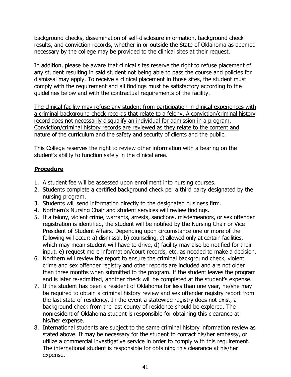background checks, dissemination of self-disclosure information, background check results, and conviction records, whether in or outside the State of Oklahoma as deemed necessary by the college may be provided to the clinical sites at their request.

In addition, please be aware that clinical sites reserve the right to refuse placement of any student resulting in said student not being able to pass the course and policies for dismissal may apply. To receive a clinical placement in those sites, the student must comply with the requirement and all findings must be satisfactory according to the guidelines below and with the contractual requirements of the facility.

The clinical facility may refuse any student from participation in clinical experiences with a criminal background check records that relate to a felony. A conviction/criminal history record does not necessarily disqualify an individual for admission in a program. Conviction/criminal history records are reviewed as they relate to the content and nature of the curriculum and the safety and security of clients and the public.

This College reserves the right to review other information with a bearing on the student's ability to function safely in the clinical area.

# **Procedure**

- 1. A student fee will be assessed upon enrollment into nursing courses.
- 2. Students complete a certified background check per a third party designated by the nursing program.
- 3. Students will send information directly to the designated business firm.
- 4. Northern's Nursing Chair and student services will review findings.
- 5. If a felony, violent crime, warrants, arrests, sanctions, misdemeanors, or sex offender registration is identified, the student will be notified by the Nursing Chair or Vice President of Student Affairs. Depending upon circumstance one or more of the following will occur: a) dismissal, b) counseling, c) allowed only at certain facilities, which may mean student will have to drive, d) facility may also be notified for their input, e) request more information/court records, etc. as needed to make a decision.
- 6. Northern will review the report to ensure the criminal background check, violent crime and sex offender registry and other reports are included and are not older than three months when submitted to the program. If the student leaves the program and is later re-admitted, another check will be completed at the student's expense.
- 7. If the student has been a resident of Oklahoma for less than one year, he/she may be required to obtain a criminal history review and sex offender registry report from the last state of residency. In the event a statewide registry does not exist, a background check from the last county of residence should be explored. The nonresident of Oklahoma student is responsible for obtaining this clearance at his/her expense.
- 8. International students are subject to the same criminal history information review as stated above. It may be necessary for the student to contact his/her embassy, or utilize a commercial investigative service in order to comply with this requirement. The international student is responsible for obtaining this clearance at his/her expense.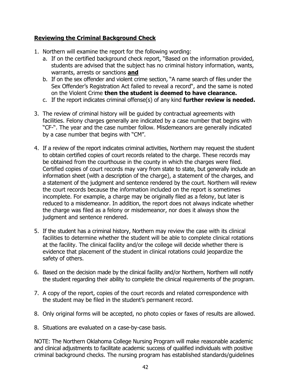#### **Reviewing the Criminal Background Check**

- 1. Northern will examine the report for the following wording:
	- a. If on the certified background check report, "Based on the information provided, students are advised that the subject has no criminal history information, wants, warrants, arrests or sanctions **and**
	- b. If on the sex offender and violent crime section, "A name search of files under the Sex Offender's Registration Act failed to reveal a record", and the same is noted on the Violent Crime **then the student is deemed to have clearance.**
	- c. If the report indicates criminal offense(s) of any kind **further review is needed.**
- 3. The review of criminal history will be guided by contractual agreements with facilities. Felony charges generally are indicated by a case number that begins with "CF-". The year and the case number follow. Misdemeanors are generally indicated by a case number that begins with "CM".
- 4. If a review of the report indicates criminal activities, Northern may request the student to obtain certified copies of court records related to the charge. These records may be obtained from the courthouse in the county in which the charges were filed. Certified copies of court records may vary from state to state, but generally include an information sheet (with a description of the charge), a statement of the charges, and a statement of the judgment and sentence rendered by the court. Northern will review the court records because the information included on the report is sometimes incomplete. For example, a charge may be originally filed as a felony, but later is reduced to a misdemeanor. In addition, the report does not always indicate whether the charge was filed as a felony or misdemeanor, nor does it always show the judgment and sentence rendered.
- 5. If the student has a criminal history, Northern may review the case with its clinical facilities to determine whether the student will be able to complete clinical rotations at the facility. The clinical facility and/or the college will decide whether there is evidence that placement of the student in clinical rotations could jeopardize the safety of others.
- 6. Based on the decision made by the clinical facility and/or Northern, Northern will notify the student regarding their ability to complete the clinical requirements of the program.
- 7. A copy of the report, copies of the court records and related correspondence with the student may be filed in the student's permanent record.
- 8. Only original forms will be accepted, no photo copies or faxes of results are allowed.
- 8. Situations are evaluated on a case-by-case basis.

NOTE: The Northern Oklahoma College Nursing Program will make reasonable academic and clinical adjustments to facilitate academic success of qualified individuals with positive criminal background checks. The nursing program has established standards/guidelines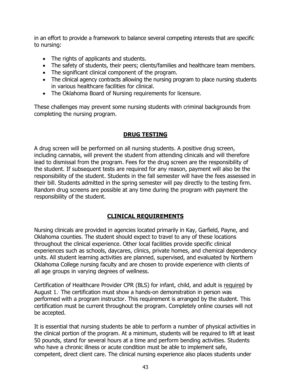in an effort to provide a framework to balance several competing interests that are specific to nursing:

- The rights of applicants and students.
- The safety of students, their peers; clients/families and healthcare team members.
- The significant clinical component of the program.
- The clinical agency contracts allowing the nursing program to place nursing students in various healthcare facilities for clinical.
- The Oklahoma Board of Nursing requirements for licensure.

These challenges may prevent some nursing students with criminal backgrounds from completing the nursing program.

# **DRUG TESTING**

A drug screen will be performed on all nursing students. A positive drug screen, including cannabis, will prevent the student from attending clinicals and will therefore lead to dismissal from the program. Fees for the drug screen are the responsibility of the student. If subsequent tests are required for any reason, payment will also be the responsibility of the student. Students in the fall semester will have the fees assessed in their bill. Students admitted in the spring semester will pay directly to the testing firm. Random drug screens are possible at any time during the program with payment the responsibility of the student.

## **CLINICAL REQUIREMENTS**

Nursing clinicals are provided in agencies located primarily in Kay, Garfield, Payne, and Oklahoma counties. The student should expect to travel to any of these locations throughout the clinical experience. Other local facilities provide specific clinical experiences such as schools, daycares, clinics, private homes, and chemical dependency units. All student learning activities are planned, supervised, and evaluated by Northern Oklahoma College nursing faculty and are chosen to provide experience with clients of all age groups in varying degrees of wellness.

Certification of Healthcare Provider CPR (BLS) for infant, child, and adult is required by August 1. . The certification must show a hands-on demonstration in person was performed with a program instructor. This requirement is arranged by the student. This certification must be current throughout the program. Completely online courses will not be accepted.

It is essential that nursing students be able to perform a number of physical activities in the clinical portion of the program. At a minimum, students will be required to lift at least 50 pounds, stand for several hours at a time and perform bending activities. Students who have a chronic illness or acute condition must be able to implement safe, competent, direct client care. The clinical nursing experience also places students under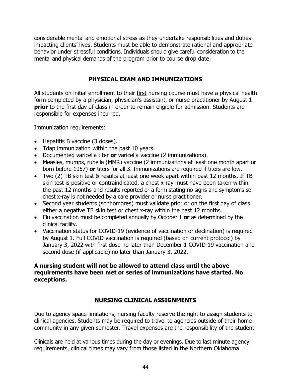considerable mental and emotional stress as they undertake responsibilities and duties impacting clients' lives. Students must be able to demonstrate rational and appropriate behavior under stressful conditions. Individuals should give careful consideration to the mental and physical demands of the program prior to course drop date.

# **PHYSICAL EXAM AND IMMUNIZATIONS**

All students on initial enrollment to their first nursing course must have a physical health form completed by a physician, physician's assistant, or nurse practitioner by August 1 **prior** to the first day of class in order to remain eligible for admission. Students are responsible for expenses incurred.

Immunization requirements:

- Hepatitis B vaccine (3 doses).
- Tdap immunization within the past 10 years.
- Documented varicella titer **or** varicella vaccine (2 immunizations).
- Measles, mumps, rubella (MMR) vaccine (2 immunizations at least one month apart or born before 1957) **or** titers for all 3. Immunizations are required if titers are low.
- Two (2) TB skin test & results at least one week apart within past 12 months. If TB skin test is positive or contraindicated, a chest x-ray must have been taken within the past 12 months and results reported or a form stating no signs and symptoms so chest x-ray is not needed by a care provider or nurse practitioner.
- Second year students (sophomores) must validate prior or on the first day of class either a negative TB skin test or chest x-ray within the past 12 months.
- Flu vaccination must be completed annually by October 1 **or** as determined by the clinical facility.
- Vaccination status for COVID-19 (evidence of vaccination or declination) is required by August 1. Full COVID vaccination is required (based on current protocol) by January 3, 2022 with first dose no later than December 1 COVID-19 vaccination and second dose (if applicable) no later than January 3, 2022.

#### **A nursing student will not be allowed to attend class until the above requirements have been met or series of immunizations have started. No exceptions.**

#### **NURSING CLINICAL ASSIGNMENTS**

Due to agency space limitations, nursing faculty reserve the right to assign students to clinical agencies. Students may be required to travel to agencies outside of their home community in any given semester. Travel expenses are the responsibility of the student.

Clinicals are held at various times during the day or evenings. Due to last minute agency requirements, clinical times may vary from those listed in the Northern Oklahoma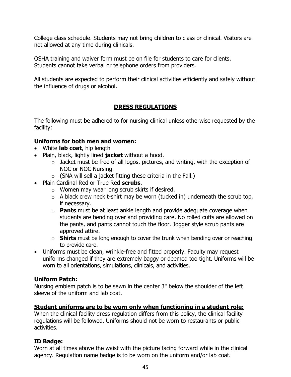College class schedule. Students may not bring children to class or clinical. Visitors are not allowed at any time during clinicals.

OSHA training and waiver form must be on file for students to care for clients. Students cannot take verbal or telephone orders from providers.

All students are expected to perform their clinical activities efficiently and safely without the influence of drugs or alcohol.

## **DRESS REGULATIONS**

The following must be adhered to for nursing clinical unless otherwise requested by the facility:

#### **Uniforms for both men and women:**

- White **lab coat**, hip length
- Plain, black, lightly lined **jacket** without a hood.
	- $\circ$  Jacket must be free of all logos, pictures, and writing, with the exception of NOC or NOC Nursing.
	- o (SNA will sell a jacket fitting these criteria in the Fall.)
- Plain Cardinal Red or True Red **scrubs**.
	- o Women may wear long scrub skirts if desired.
	- $\circ$  A black crew neck t-shirt may be worn (tucked in) underneath the scrub top, if necessary.
	- o **Pants** must be at least ankle length and provide adequate coverage when students are bending over and providing care. No rolled cuffs are allowed on the pants, and pants cannot touch the floor. Jogger style scrub pants are approved attire.
	- o **Shirts** must be long enough to cover the trunk when bending over or reaching to provide care.
- Uniforms must be clean, wrinkle-free and fitted properly. Faculty may request uniforms changed if they are extremely baggy or deemed too tight. Uniforms will be worn to all orientations, simulations, clinicals, and activities.

## **Uniform Patch:**

Nursing emblem patch is to be sewn in the center 3" below the shoulder of the left sleeve of the uniform and lab coat.

#### **Student uniforms are to be worn only when functioning in a student role:**

When the clinical facility dress regulation differs from this policy, the clinical facility regulations will be followed. Uniforms should not be worn to restaurants or public activities.

## **ID Badge:**

Worn at all times above the waist with the picture facing forward while in the clinical agency. Regulation name badge is to be worn on the uniform and/or lab coat.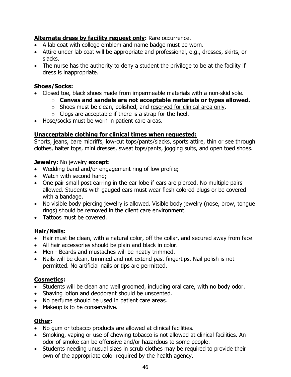# **Alternate dress by facility request only:** Rare occurrence.

- A lab coat with college emblem and name badge must be worn.
- Attire under lab coat will be appropriate and professional, e.g., dresses, skirts, or slacks.
- The nurse has the authority to deny a student the privilege to be at the facility if dress is inappropriate.

# **Shoes/Socks:**

- Closed toe, black shoes made from impermeable materials with a non-skid sole.
	- o **Canvas and sandals are not acceptable materials or types allowed.**
	- o Shoes must be clean, polished, and reserved for clinical area only.
	- $\circ$  Clogs are acceptable if there is a strap for the heel.
- Hose/socks must be worn in patient care areas.

# **Unacceptable clothing for clinical times when requested:**

Shorts, jeans, bare midriffs, low-cut tops/pants/slacks, sports attire, thin or see through clothes, halter tops, mini dresses, sweat tops/pants, jogging suits, and open toed shoes.

## **Jewelry:** No jewelry **except**:

- Wedding band and/or engagement ring of low profile;
- Watch with second hand;
- One pair small post earring in the ear lobe if ears are pierced. No multiple pairs allowed. Students with gauged ears must wear flesh colored plugs or be covered with a bandage.
- No visible body piercing jewelry is allowed. Visible body jewelry (nose, brow, tongue rings) should be removed in the client care environment.
- Tattoos must be covered.

# **Hair/Nails:**

- Hair must be clean, with a natural color, off the collar, and secured away from face.
- All hair accessories should be plain and black in color.
- Men Beards and mustaches will be neatly trimmed.
- Nails will be clean, trimmed and not extend past fingertips. Nail polish is not permitted. No artificial nails or tips are permitted.

# **Cosmetics:**

- Students will be clean and well groomed, including oral care, with no body odor.
- Shaving lotion and deodorant should be unscented.
- No perfume should be used in patient care areas.
- Makeup is to be conservative.

## **Other:**

- No gum or tobacco products are allowed at clinical facilities.
- Smoking, vaping or use of chewing tobacco is not allowed at clinical facilities. An odor of smoke can be offensive and/or hazardous to some people.
- Students needing unusual sizes in scrub clothes may be required to provide their own of the appropriate color required by the health agency.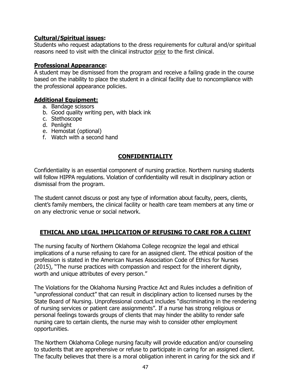#### **Cultural/Spiritual issues:**

Students who request adaptations to the dress requirements for cultural and/or spiritual reasons need to visit with the clinical instructor prior to the first clinical.

#### **Professional Appearance:**

A student may be dismissed from the program and receive a failing grade in the course based on the inability to place the student in a clinical facility due to noncompliance with the professional appearance policies.

#### **Additional Equipment:**

- a. Bandage scissors
- b. Good quality writing pen, with black ink
- c. Stethoscope
- d. Penlight
- e. Hemostat (optional)
- f. Watch with a second hand

## **CONFIDENTIALITY**

Confidentiality is an essential component of nursing practice. Northern nursing students will follow HIPPA regulations. Violation of confidentiality will result in disciplinary action or dismissal from the program.

The student cannot discuss or post any type of information about faculty, peers, clients, client's family members, the clinical facility or health care team members at any time or on any electronic venue or social network.

# **ETHICAL AND LEGAL IMPLICATION OF REFUSING TO CARE FOR A CLIENT**

The nursing faculty of Northern Oklahoma College recognize the legal and ethical implications of a nurse refusing to care for an assigned client. The ethical position of the profession is stated in the American Nurses Association Code of Ethics for Nurses (2015), "The nurse practices with compassion and respect for the inherent dignity, worth and unique attributes of every person."

The Violations for the Oklahoma Nursing Practice Act and Rules includes a definition of "unprofessional conduct" that can result in disciplinary action to licensed nurses by the State Board of Nursing. Unprofessional conduct includes "discriminating in the rendering of nursing services or patient care assignments". If a nurse has strong religious or personal feelings towards groups of clients that may hinder the ability to render safe nursing care to certain clients, the nurse may wish to consider other employment opportunities.

The Northern Oklahoma College nursing faculty will provide education and/or counseling to students that are apprehensive or refuse to participate in caring for an assigned client. The faculty believes that there is a moral obligation inherent in caring for the sick and if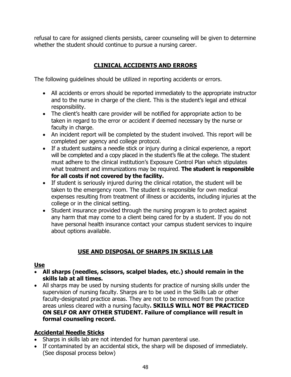refusal to care for assigned clients persists, career counseling will be given to determine whether the student should continue to pursue a nursing career.

# **CLINICAL ACCIDENTS AND ERRORS**

The following guidelines should be utilized in reporting accidents or errors.

- All accidents or errors should be reported immediately to the appropriate instructor and to the nurse in charge of the client. This is the student's legal and ethical responsibility.
- The client's health care provider will be notified for appropriate action to be taken in regard to the error or accident if deemed necessary by the nurse or faculty in charge.
- An incident report will be completed by the student involved. This report will be completed per agency and college protocol.
- If a student sustains a needle stick or injury during a clinical experience, a report will be completed and a copy placed in the student's file at the college. The student must adhere to the clinical institution's Exposure Control Plan which stipulates what treatment and immunizations may be required. **The student is responsible for all costs if not covered by the facility.**
- If student is seriously injured during the clinical rotation, the student will be taken to the emergency room. The student is responsible for own medical expenses resulting from treatment of illness or accidents, including injuries at the college or in the clinical setting.
- Student insurance provided through the nursing program is to protect against any harm that may come to a client being cared for by a student. If you do not have personal health insurance contact your campus student services to inquire about options available.

# **USE AND DISPOSAL OF SHARPS IN SKILLS LAB**

## **Use**

- **All sharps (needles, scissors, scalpel blades, etc.) should remain in the skills lab at all times.**
- All sharps may be used by nursing students for practice of nursing skills under the supervision of nursing faculty. Sharps are to be used in the Skills Lab or other faculty-designated practice areas. They are not to be removed from the practice areas unless cleared with a nursing faculty**. SKILLS WILL NOT BE PRACTICED ON SELF OR ANY OTHER STUDENT. Failure of compliance will result in formal counseling record.**

# **Accidental Needle Sticks**

- Sharps in skills lab are not intended for human parenteral use.
- If contaminated by an accidental stick, the sharp will be disposed of immediately. (See disposal process below)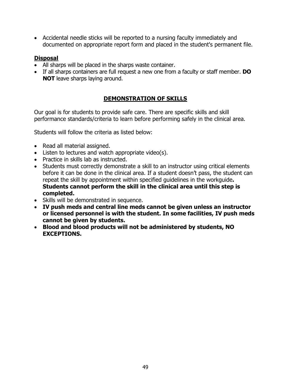• Accidental needle sticks will be reported to a nursing faculty immediately and documented on appropriate report form and placed in the student's permanent file.

#### **Disposal**

- All sharps will be placed in the sharps waste container.
- If all sharps containers are full request a new one from a faculty or staff member. **DO NOT** leave sharps laying around.

# **DEMONSTRATION OF SKILLS**

Our goal is for students to provide safe care. There are specific skills and skill performance standards/criteria to learn before performing safely in the clinical area.

Students will follow the criteria as listed below:

- Read all material assigned.
- Listen to lectures and watch appropriate video(s).
- Practice in skills lab as instructed.
- Students must correctly demonstrate a skill to an instructor using critical elements before it can be done in the clinical area. If a student doesn't pass, the student can repeat the skill by appointment within specified guidelines in the workguide**. Students cannot perform the skill in the clinical area until this step is completed.**
- Skills will be demonstrated in sequence.
- **IV push meds and central line meds cannot be given unless an instructor or licensed personnel is with the student. In some facilities, IV push meds cannot be given by students.**
- **Blood and blood products will not be administered by students, NO EXCEPTIONS.**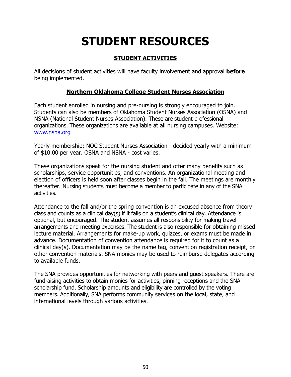# **STUDENT RESOURCES**

# **STUDENT ACTIVITIES**

All decisions of student activities will have faculty involvement and approval **before** being implemented.

# **Northern Oklahoma College Student Nurses Association**

Each student enrolled in nursing and pre-nursing is strongly encouraged to join. Students can also be members of Oklahoma Student Nurses Association (OSNA) and NSNA (National Student Nurses Association). These are student professional organizations. These organizations are available at all nursing campuses. Website: [www.nsna.org](http://www.nsna.org/)

Yearly membership: NOC Student Nurses Association - decided yearly with a minimum of \$10.00 per year. OSNA and NSNA - cost varies.

These organizations speak for the nursing student and offer many benefits such as scholarships, service opportunities, and conventions. An organizational meeting and election of officers is held soon after classes begin in the fall. The meetings are monthly thereafter. Nursing students must become a member to participate in any of the SNA activities.

Attendance to the fall and/or the spring convention is an excused absence from theory class and counts as a clinical day(s) if it falls on a student's clinical day. Attendance is optional, but encouraged. The student assumes all responsibility for making travel arrangements and meeting expenses. The student is also responsible for obtaining missed lecture material. Arrangements for make-up work, quizzes, or exams must be made in advance. Documentation of convention attendance is required for it to count as a clinical day(s). Documentation may be the name tag, convention registration receipt, or other convention materials. SNA monies may be used to reimburse delegates according to available funds.

The SNA provides opportunities for networking with peers and guest speakers. There are fundraising activities to obtain monies for activities, pinning receptions and the SNA scholarship fund. Scholarship amounts and eligibility are controlled by the voting members. Additionally, SNA performs community services on the local, state, and international levels through various activities.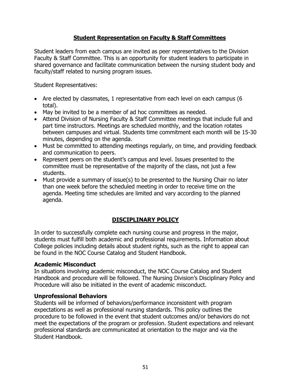#### **Student Representation on Faculty & Staff Committees**

Student leaders from each campus are invited as peer representatives to the Division Faculty & Staff Committee. This is an opportunity for student leaders to participate in shared governance and facilitate communication between the nursing student body and faculty/staff related to nursing program issues.

Student Representatives:

- Are elected by classmates, 1 representative from each level on each campus (6 total).
- May be invited to be a member of ad hoc committees as needed.
- Attend Division of Nursing Faculty & Staff Committee meetings that include full and part time instructors. Meetings are scheduled monthly, and the location rotates between campuses and virtual. Students time commitment each month will be 15-30 minutes, depending on the agenda.
- Must be committed to attending meetings regularly, on time, and providing feedback and communication to peers.
- Represent peers on the student's campus and level. Issues presented to the committee must be representative of the majority of the class, not just a few students.
- Must provide a summary of issue(s) to be presented to the Nursing Chair no later than one week before the scheduled meeting in order to receive time on the agenda. Meeting time schedules are limited and vary according to the planned agenda.

## **DISCIPLINARY POLICY**

In order to successfully complete each nursing course and progress in the major, students must fulfill both academic and professional requirements. Information about College policies including details about student rights, such as the right to appeal can be found in the NOC Course Catalog and Student Handbook.

#### **Academic Misconduct**

In situations involving academic misconduct, the NOC Course Catalog and Student Handbook and procedure will be followed. The Nursing Division's Disciplinary Policy and Procedure will also be initiated in the event of academic misconduct.

#### **Unprofessional Behaviors**

Students will be informed of behaviors/performance inconsistent with program expectations as well as professional nursing standards. This policy outlines the procedure to be followed in the event that student outcomes and/or behaviors do not meet the expectations of the program or profession. Student expectations and relevant professional standards are communicated at orientation to the major and via the Student Handbook.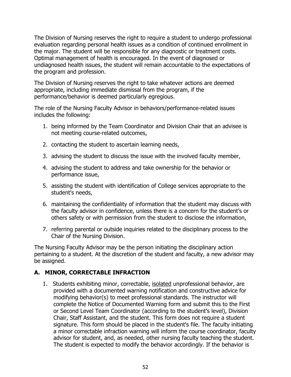The Division of Nursing reserves the right to require a student to undergo professional evaluation regarding personal health issues as a condition of continued enrollment in the major. The student will be responsible for any diagnostic or treatment costs. Optimal management of health is encouraged. In the event of diagnosed or undiagnosed health issues, the student will remain accountable to the expectations of the program and profession.

The Division of Nursing reserves the right to take whatever actions are deemed appropriate, including immediate dismissal from the program, if the performance/behavior is deemed particularly egregious.

The role of the Nursing Faculty Advisor in behaviors/performance-related issues includes the following:

- 1. being informed by the Team Coordinator and Division Chair that an advisee is not meeting course-related outcomes,
- 2. contacting the student to ascertain learning needs,
- 3. advising the student to discuss the issue with the involved faculty member,
- 4. advising the student to address and take ownership for the behavior or performance issue,
- 5. assisting the student with identification of College services appropriate to the student's needs,
- 6. maintaining the confidentiality of information that the student may discuss with the faculty advisor in confidence, unless there is a concern for the student's or others safety or with permission from the student to disclose the information,
- 7. referring parental or outside inquiries related to the disciplinary process to the Chair of the Nursing Division.

The Nursing Faculty Advisor may be the person initiating the disciplinary action pertaining to a student. At the discretion of the student and faculty, a new advisor may be assigned.

## **A. MINOR, CORRECTABLE INFRACTION**

1. Students exhibiting minor, correctable, isolated unprofessional behavior, are provided with a documented warning notification and constructive advice for modifying behavior(s) to meet professional standards. The instructor will complete the Notice of Documented Warning form and submit this to the First or Second Level Team Coordinator (according to the student's level), Division Chair, Staff Assistant, and the student. This form does not require a student signature. This form should be placed in the student's file. The faculty initiating a minor correctable infraction warning will inform the course coordinator, faculty advisor for student, and, as needed, other nursing faculty teaching the student. The student is expected to modify the behavior accordingly. If the behavior is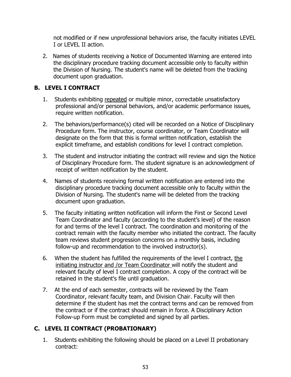not modified or if new unprofessional behaviors arise, the faculty initiates LEVEL I or LEVEL II action.

2. Names of students receiving a Notice of Documented Warning are entered into the disciplinary procedure tracking document accessible only to faculty within the Division of Nursing. The student's name will be deleted from the tracking document upon graduation.

## **B. LEVEL I CONTRACT**

- 1. Students exhibiting repeated or multiple minor, correctable unsatisfactory professional and/or personal behaviors, and/or academic performance issues, require written notification.
- 2. The behaviors/performance(s) cited will be recorded on a Notice of Disciplinary Procedure form. The instructor, course coordinator, or Team Coordinator will designate on the form that this is formal written notification, establish the explicit timeframe, and establish conditions for level I contract completion.
- 3. The student and instructor initiating the contract will review and sign the Notice of Disciplinary Procedure form. The student signature is an acknowledgment of receipt of written notification by the student.
- 4. Names of students receiving formal written notification are entered into the disciplinary procedure tracking document accessible only to faculty within the Division of Nursing. The student's name will be deleted from the tracking document upon graduation.
- 5. The faculty initiating written notification will inform the First or Second Level Team Coordinator and faculty (according to the student's level) of the reason for and terms of the level I contract. The coordination and monitoring of the contract remain with the faculty member who initiated the contract. The faculty team reviews student progression concerns on a monthly basis, including follow-up and recommendation to the involved instructor(s).
- 6. When the student has fulfilled the requirements of the level I contract, the initiating instructor and /or Team Coordinator will notify the student and relevant faculty of level I contract completion. A copy of the contract will be retained in the student's file until graduation.
- 7. At the end of each semester, contracts will be reviewed by the Team Coordinator, relevant faculty team, and Division Chair. Faculty will then determine if the student has met the contract terms and can be removed from the contract or if the contract should remain in force. A Disciplinary Action Follow-up Form must be completed and signed by all parties.

# **C. LEVEL II CONTRACT (PROBATIONARY)**

1. Students exhibiting the following should be placed on a Level II probationary contract: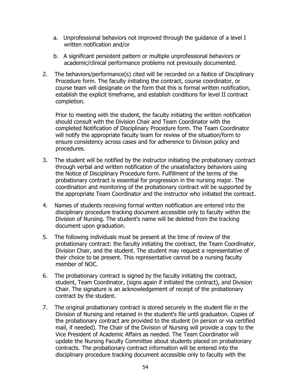- a. Unprofessional behaviors not improved through the guidance of a level I written notification and/or
- b. A significant persistent pattern or multiple unprofessional behaviors or academic/clinical performance problems not previously documented.
- 2. The behaviors/performance(s) cited will be recorded on a Notice of Disciplinary Procedure form. The faculty initiating the contract, course coordinator, or course team will designate on the form that this is formal written notification, establish the explicit timeframe, and establish conditions for level II contract completion.

Prior to meeting with the student, the faculty initiating the written notification should consult with the Division Chair and Team Coordinator with the completed Notification of Disciplinary Procedure form. The Team Coordinator will notify the appropriate faculty team for review of the situation/form to ensure consistency across cases and for adherence to Division policy and procedures.

- 3. The student will be notified by the instructor initiating the probationary contract through verbal and written notification of the unsatisfactory behaviors using the Notice of Disciplinary Procedure form. Fulfillment of the terms of the probationary contract is essential for progression in the nursing major. The coordination and monitoring of the probationary contract will be supported by the appropriate Team Coordinator and the instructor who initiated the contract.
- 4. Names of students receiving formal written notification are entered into the disciplinary procedure tracking document accessible only to faculty within the Division of Nursing. The student's name will be deleted from the tracking document upon graduation.
- 5. The following individuals must be present at the time of review of the probationary contract: the faculty initiating the contract, the Team Coordinator, Division Chair, and the student. The student may request a representative of their choice to be present. This representative cannot be a nursing faculty member of NOC.
- 6. The probationary contract is signed by the faculty initiating the contract, student, Team Coordinator, (signs again if initiated the contract), and Division Chair. The signature is an acknowledgement of receipt of the probationary contract by the student.
- 7. The original probationary contract is stored securely in the student file in the Division of Nursing and retained in the student's file until graduation. Copies of the probationary contract are provided to the student (in person or via certified mail, if needed). The Chair of the Division of Nursing will provide a copy to the Vice President of Academic Affairs as needed. The Team Coordinator will update the Nursing Faculty Committee about students placed on probationary contracts. The probationary contract information will be entered into the disciplinary procedure tracking document accessible only to faculty with the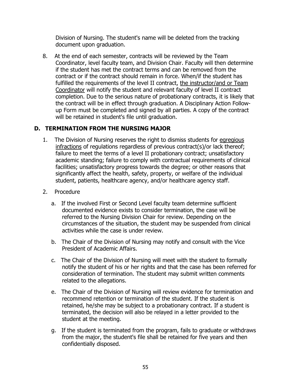Division of Nursing. The student's name will be deleted from the tracking document upon graduation.

8. At the end of each semester, contracts will be reviewed by the Team Coordinator, level faculty team, and Division Chair. Faculty will then determine if the student has met the contract terms and can be removed from the contract or if the contract should remain in force. When/if the student has fulfilled the requirements of the level II contract, the instructor/and or Team Coordinator will notify the student and relevant faculty of level II contract completion. Due to the serious nature of probationary contracts, it is likely that the contract will be in effect through graduation. A Disciplinary Action Followup Form must be completed and signed by all parties. A copy of the contract will be retained in student's file until graduation.

#### **D. TERMINATION FROM THE NURSING MAJOR**

- 1. The Division of Nursing reserves the right to dismiss students for egregious infractions of regulations regardless of previous contract(s)/or lack thereof; failure to meet the terms of a level II probationary contract; unsatisfactory academic standing; failure to comply with contractual requirements of clinical facilities; unsatisfactory progress towards the degree; or other reasons that significantly affect the health, safety, property, or welfare of the individual student, patients, healthcare agency, and/or healthcare agency staff.
- 2. Procedure
	- a. If the involved First or Second Level faculty team determine sufficient documented evidence exists to consider termination, the case will be referred to the Nursing Division Chair for review. Depending on the circumstances of the situation, the student may be suspended from clinical activities while the case is under review.
	- b. The Chair of the Division of Nursing may notify and consult with the Vice President of Academic Affairs.
	- c. The Chair of the Division of Nursing will meet with the student to formally notify the student of his or her rights and that the case has been referred for consideration of termination. The student may submit written comments related to the allegations.
	- e. The Chair of the Division of Nursing will review evidence for termination and recommend retention or termination of the student. If the student is retained, he/she may be subject to a probationary contract. If a student is terminated, the decision will also be relayed in a letter provided to the student at the meeting.
	- g. If the student is terminated from the program, fails to graduate or withdraws from the major, the student's file shall be retained for five years and then confidentially disposed.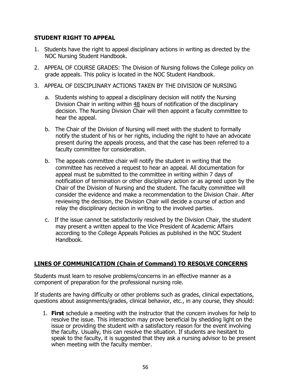#### **STUDENT RIGHT TO APPEAL**

- 1. Students have the right to appeal disciplinary actions in writing as directed by the NOC Nursing Student Handbook.
- 2. APPEAL OF COURSE GRADES: The Division of Nursing follows the College policy on grade appeals. This policy is located in the NOC Student Handbook.
- 3. APPEAL OF DISCIPLINARY ACTIONS TAKEN BY THE DIVISION OF NURSING
	- a. Students wishing to appeal a disciplinary decision will notify the Nursing Division Chair in writing within 48 hours of notification of the disciplinary decision. The Nursing Division Chair will then appoint a faculty committee to hear the appeal.
	- b. The Chair of the Division of Nursing will meet with the student to formally notify the student of his or her rights, including the right to have an advocate present during the appeals process, and that the case has been referred to a faculty committee for consideration.
	- b. The appeals committee chair will notify the student in writing that the committee has received a request to hear an appeal. All documentation for appeal must be submitted to the committee in writing within 7 days of notification of termination or other disciplinary action or as agreed upon by the Chair of the Division of Nursing and the student. The faculty committee will consider the evidence and make a recommendation to the Division Chair. After reviewing the decision, the Division Chair will decide a course of action and relay the disciplinary decision in writing to the involved parties.
	- c. If the issue cannot be satisfactorily resolved by the Division Chair, the student may present a written appeal to the Vice President of Academic Affairs according to the College Appeals Policies as published in the NOC Student Handbook.

## **LINES OF COMMUNICATION (Chain of Command) TO RESOLVE CONCERNS**

Students must learn to resolve problems/concerns in an effective manner as a component of preparation for the professional nursing role.

If students are having difficulty or other problems such as grades, clinical expectations, questions about assignments/grades, clinical behavior, etc., in any course, they should:

1. **First** schedule a meeting with the instructor that the concern involves for help to resolve the issue. This interaction may prove beneficial by shedding light on the issue or providing the student with a satisfactory reason for the event involving the faculty. Usually, this can resolve the situation. If students are hesitant to speak to the faculty, it is suggested that they ask a nursing advisor to be present when meeting with the faculty member.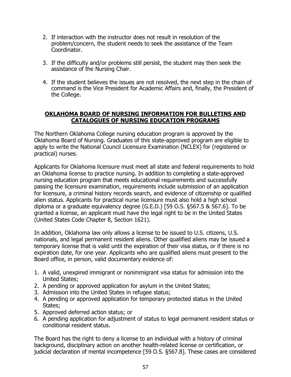- 2. If interaction with the instructor does not result in resolution of the problem/concern, the student needs to seek the assistance of the Team Coordinator.
- 3. If the difficulty and/or problems still persist, the student may then seek the assistance of the Nursing Chair.
- 4. If the student believes the issues are not resolved, the next step in the chain of command is the Vice President for Academic Affairs and, finally, the President of the College.

#### **OKLAHOMA BOARD OF NURSING INFORMATION FOR BULLETINS AND CATALOGUES OF NURSING EDUCATION PROGRAMS**

The Northern Oklahoma College nursing education program is approved by the Oklahoma Board of Nursing. Graduates of this state-approved program are eligible to apply to write the National Council Licensure Examination (NCLEX) for (registered or practical) nurses.

Applicants for Oklahoma licensure must meet all state and federal requirements to hold an Oklahoma license to practice nursing. In addition to completing a state-approved nursing education program that meets educational requirements and successfully passing the licensure examination, requirements include submission of an application for licensure, a criminal history records search, and evidence of citizenship or qualified alien status. Applicants for practical nurse licensure must also hold a high school diploma or a graduate equivalency degree (G.E.D.) [59 O.S. §567.5 & 567.6]. To be granted a license, an applicant must have the legal right to be in the United States (United States Code Chapter 8, Section 1621).

In addition, Oklahoma law only allows a license to be issued to U.S. citizens, U.S. nationals, and legal permanent resident aliens. Other qualified aliens may be issued a temporary license that is valid until the expiration of their visa status, or if there is no expiration date, for one year. Applicants who are qualified aliens must present to the Board office, in person, valid documentary evidence of:

- 1. A valid, unexpired immigrant or nonimmigrant visa status for admission into the United States;
- 2. A pending or approved application for asylum in the United States;
- 3. Admission into the United States in refugee status;
- 4. A pending or approved application for temporary protected status in the United States;
- 5. Approved deferred action status; or
- 6. A pending application for adjustment of status to legal permanent resident status or conditional resident status.

The Board has the right to deny a license to an individual with a history of criminal background, disciplinary action on another health-related license or certification, or judicial declaration of mental incompetence [59 O.S. §567.8]. These cases are considered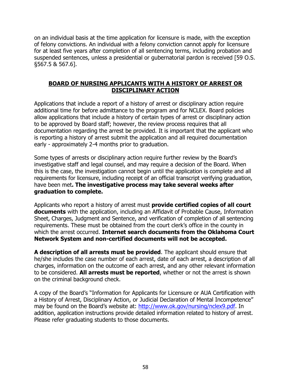on an individual basis at the time application for licensure is made, with the exception of felony convictions. An individual with a felony conviction cannot apply for licensure for at least five years after completion of all sentencing terms, including probation and suspended sentences, unless a presidential or gubernatorial pardon is received [59 O.S. §567.5 & 567.6].

#### **BOARD OF NURSING APPLICANTS WITH A HISTORY OF ARREST OR DISCIPLINARY ACTION**

Applications that include a report of a history of arrest or disciplinary action require additional time for before admittance to the program and for NCLEX. Board policies allow applications that include a history of certain types of arrest or disciplinary action to be approved by Board staff; however, the review process requires that all documentation regarding the arrest be provided. It is important that the applicant who is reporting a history of arrest submit the application and all required documentation early - approximately 2-4 months prior to graduation.

Some types of arrests or disciplinary action require further review by the Board's investigative staff and legal counsel, and may require a decision of the Board. When this is the case, the investigation cannot begin until the application is complete and all requirements for licensure, including receipt of an official transcript verifying graduation, have been met**. The investigative process may take several weeks after graduation to complete.**

Applicants who report a history of arrest must **provide certified copies of all court documents** with the application, including an Affidavit of Probable Cause, Information Sheet, Charges, Judgment and Sentence, and verification of completion of all sentencing requirements. These must be obtained from the court clerk's office in the county in which the arrest occurred. **Internet search documents from the Oklahoma Court Network System and non-certified documents will not be accepted.**

**A description of all arrests must be provided**. The applicant should ensure that he/she includes the case number of each arrest, date of each arrest, a description of all charges, information on the outcome of each arrest, and any other relevant information to be considered. **All arrests must be reported**, whether or not the arrest is shown on the criminal background check.

A copy of the Board's "Information for Applicants for Licensure or AUA Certification with a History of Arrest, Disciplinary Action, or Judicial Declaration of Mental Incompetence" may be found on the Board's website at: [http://www.ok.gov/nursing/nclex9.pdf.](http://www.ok.gov/nursing/nclex9.pdf) In addition, application instructions provide detailed information related to history of arrest. Please refer graduating students to those documents.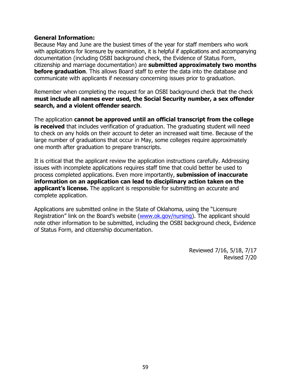#### **General Information:**

Because May and June are the busiest times of the year for staff members who work with applications for licensure by examination, it is helpful if applications and accompanying documentation (including OSBI background check, the Evidence of Status Form, citizenship and marriage documentation) are **submitted approximately two months before graduation**. This allows Board staff to enter the data into the database and communicate with applicants if necessary concerning issues prior to graduation.

Remember when completing the request for an OSBI background check that the check **must include all names ever used, the Social Security number, a sex offender search, and a violent offender search**.

The application **cannot be approved until an official transcript from the college is received** that includes verification of graduation. The graduating student will need to check on any holds on their account to deter an increased wait time. Because of the large number of graduations that occur in May, some colleges require approximately one month after graduation to prepare transcripts.

It is critical that the applicant review the application instructions carefully. Addressing issues with incomplete applications requires staff time that could better be used to process completed applications. Even more importantly, **submission of inaccurate information on an application can lead to disciplinary action taken on the applicant's license.** The applicant is responsible for submitting an accurate and complete application.

Applications are submitted online in the State of Oklahoma, using the "Licensure Registration" link on the Board's website [\(www.ok.gov/nursing\)](http://www.ok.gov/nursing). The applicant should note other information to be submitted, including the OSBI background check, Evidence of Status Form, and citizenship documentation.

> Reviewed 7/16, 5/18, 7/17 Revised 7/20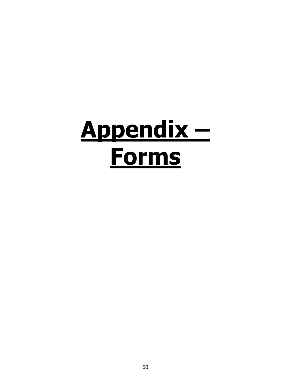# **Appendix – Forms**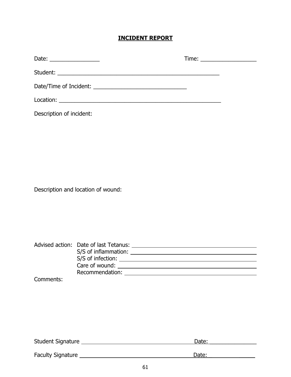# **INCIDENT REPORT**

| Date: $\frac{1}{\sqrt{1-\frac{1}{2}}\cdot\frac{1}{2}}$ |                                    |  | Time: _______________________ |
|--------------------------------------------------------|------------------------------------|--|-------------------------------|
|                                                        |                                    |  |                               |
|                                                        |                                    |  |                               |
|                                                        |                                    |  |                               |
| Description of incident:                               |                                    |  |                               |
|                                                        |                                    |  |                               |
|                                                        |                                    |  |                               |
|                                                        |                                    |  |                               |
|                                                        |                                    |  |                               |
|                                                        |                                    |  |                               |
|                                                        | Description and location of wound: |  |                               |
|                                                        |                                    |  |                               |
|                                                        |                                    |  |                               |
|                                                        |                                    |  |                               |
|                                                        |                                    |  |                               |
|                                                        |                                    |  |                               |
| Comments:                                              |                                    |  |                               |
|                                                        |                                    |  |                               |
|                                                        |                                    |  |                               |
|                                                        |                                    |  |                               |

| <b>Student Signature</b> | Date: |
|--------------------------|-------|
|                          |       |
| <b>Faculty Signature</b> | Date: |
|                          |       |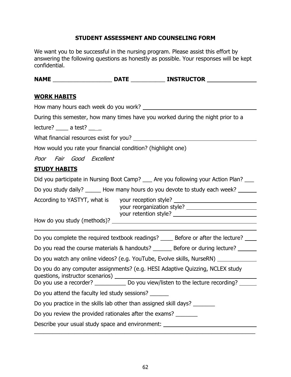# **STUDENT ASSESSMENT AND COUNSELING FORM**

We want you to be successful in the nursing program. Please assist this effort by answering the following questions as honestly as possible. Your responses will be kept confidential.

| <b>NAME</b> | <b>DATE</b> | <b>INSTRUCTOR</b> |  |
|-------------|-------------|-------------------|--|
|             |             |                   |  |

#### **WORK HABITS**

| How many hours each week do you work?                                                |  |  |  |  |
|--------------------------------------------------------------------------------------|--|--|--|--|
| During this semester, how many times have you worked during the night prior to a     |  |  |  |  |
| $lecture?$ a test? ____                                                              |  |  |  |  |
|                                                                                      |  |  |  |  |
| How would you rate your financial condition? (highlight one)                         |  |  |  |  |
| Poor Fair Good Excellent                                                             |  |  |  |  |
| <b>STUDY HABITS</b>                                                                  |  |  |  |  |
| Did you participate in Nursing Boot Camp? __ Are you following your Action Plan? __  |  |  |  |  |
| Do you study daily? ______ How many hours do you devote to study each week? ____     |  |  |  |  |
| According to YASTYT, what is your reception style?                                   |  |  |  |  |
|                                                                                      |  |  |  |  |
|                                                                                      |  |  |  |  |
|                                                                                      |  |  |  |  |
| Do you complete the required textbook readings? _____ Before or after the lecture?   |  |  |  |  |
|                                                                                      |  |  |  |  |
| Do you watch any online videos? (e.g. YouTube, Evolve skills, NurseRN)               |  |  |  |  |
| Do you do any computer assignments? (e.g. HESI Adaptive Quizzing, NCLEX study        |  |  |  |  |
| Do you use a recorder? ____________ Do you view/listen to the lecture recording? ___ |  |  |  |  |
| Do you attend the faculty led study sessions?                                        |  |  |  |  |
| Do you practice in the skills lab other than assigned skill days?                    |  |  |  |  |
| Do you review the provided rationales after the exams?                               |  |  |  |  |
| Describe your usual study space and environment: _______________________________     |  |  |  |  |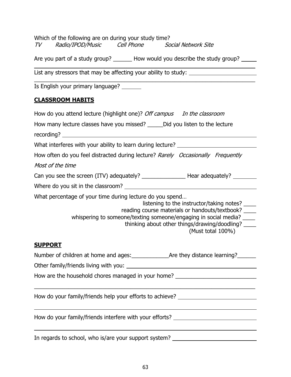| Which of the following are on during your study time?<br>TV Radio/IPOD/Music Cell Phone Social Network Site                                                                                                                                                                                                        |
|--------------------------------------------------------------------------------------------------------------------------------------------------------------------------------------------------------------------------------------------------------------------------------------------------------------------|
| Are you part of a study group? _______ How would you describe the study group? _____                                                                                                                                                                                                                               |
| List any stressors that may be affecting your ability to study: _________________                                                                                                                                                                                                                                  |
| Is English your primary language?                                                                                                                                                                                                                                                                                  |
| <b>CLASSROOM HABITS</b>                                                                                                                                                                                                                                                                                            |
| How do you attend lecture (highlight one)? Off campus In the classroom                                                                                                                                                                                                                                             |
| How many lecture classes have you missed? _____ Did you listen to the lecture                                                                                                                                                                                                                                      |
| What interferes with your ability to learn during lecture?                                                                                                                                                                                                                                                         |
| How often do you feel distracted during lecture? Rarely Occasionally Frequently                                                                                                                                                                                                                                    |
| Most of the time                                                                                                                                                                                                                                                                                                   |
|                                                                                                                                                                                                                                                                                                                    |
|                                                                                                                                                                                                                                                                                                                    |
| What percentage of your time during lecture do you spend<br>listening to the instructor/taking notes?<br>reading course materials or handouts/textbook? _____<br>whispering to someone/texting someone/engaging in social media? _____<br>thinking about other things/drawing/doodling? _____<br>(Must total 100%) |
| <u>SUPPORT</u>                                                                                                                                                                                                                                                                                                     |
|                                                                                                                                                                                                                                                                                                                    |
|                                                                                                                                                                                                                                                                                                                    |
| How are the household chores managed in your home? _____________________________                                                                                                                                                                                                                                   |
| How do your family/friends help your efforts to achieve? _______________________                                                                                                                                                                                                                                   |
| <u> 1989 - Johann Stoff, deutscher Stoffen und der Stoffen und der Stoffen und der Stoffen und der Stoffen und der</u><br>How do your family/friends interfere with your efforts? ________________________                                                                                                         |
| In regards to school, who is/are your support system? __________________________                                                                                                                                                                                                                                   |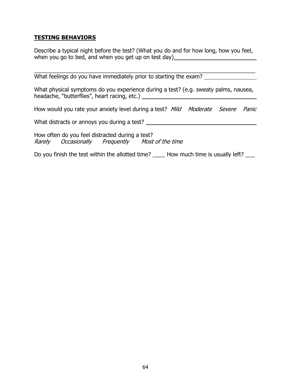#### **TESTING BEHAVIORS**

Describe a typical night before the test? (What you do and for how long, how you feel, when you go to bed, and when you get up on test day) \_\_\_\_\_\_\_\_\_\_\_\_\_\_\_\_\_\_\_\_\_\_\_\_\_\_\_

 $\mathcal{L}_\text{max}$  , and the contract of the contract of the contract of the contract of the contract of the contract of the contract of the contract of the contract of the contract of the contract of the contract of the contr What feelings do you have immediately prior to starting the exam?

What physical symptoms do you experience during a test? (e.g. sweaty palms, nausea, headache, "butterflies", heart racing, etc.)

How would you rate your anxiety level during a test? Mild Moderate Severe Panic

What distracts or annoys you during a test?

How often do you feel distracted during a test?<br>Rarely Occasionally Frequently Most Frequently Most of the time

Do you finish the test within the allotted time? \_\_\_\_\_ How much time is usually left? \_\_\_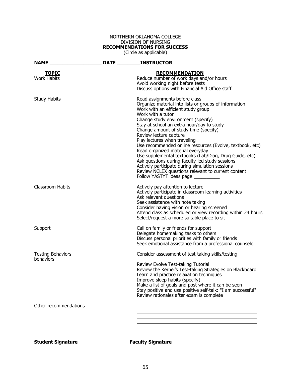#### NORTHERN OKLAHOMA COLLEGE DIVISION OF NURSING **RECOMMENDATIONS FOR SUCCESS**

(Circle as applicable)

| <b>NAME</b>                           | DATE INSTRUCTOR                                                                                                                                                                                                               |
|---------------------------------------|-------------------------------------------------------------------------------------------------------------------------------------------------------------------------------------------------------------------------------|
| <b>TOPIC</b>                          | <b>RECOMMENDATION</b>                                                                                                                                                                                                         |
| <b>Work Habits</b>                    | Reduce number of work days and/or hours                                                                                                                                                                                       |
|                                       | Avoid working night before tests                                                                                                                                                                                              |
|                                       | Discuss options with Financial Aid Office staff                                                                                                                                                                               |
| <b>Study Habits</b>                   | Read assignments before class                                                                                                                                                                                                 |
|                                       | Organize material into lists or groups of information                                                                                                                                                                         |
|                                       | Work with an efficient study group                                                                                                                                                                                            |
|                                       | Work with a tutor                                                                                                                                                                                                             |
|                                       | Change study environment (specify)<br>Stay at school an extra hour/day to study                                                                                                                                               |
|                                       | Change amount of study time (specify)                                                                                                                                                                                         |
|                                       | Review lecture capture                                                                                                                                                                                                        |
|                                       | Play lectures when traveling                                                                                                                                                                                                  |
|                                       | Use recommended online resources (Evolve, textbook, etc)                                                                                                                                                                      |
|                                       | Read organized material everyday                                                                                                                                                                                              |
|                                       | Use supplemental textbooks (Lab/Diag, Drug Guide, etc)                                                                                                                                                                        |
|                                       | Ask questions during faculty-led study sessions                                                                                                                                                                               |
|                                       | Actively participate during simulation sessions<br>Review NCLEX questions relevant to current content                                                                                                                         |
|                                       | Follow YASTYT ideas page __________                                                                                                                                                                                           |
|                                       |                                                                                                                                                                                                                               |
| Classroom Habits                      | Actively pay attention to lecture                                                                                                                                                                                             |
|                                       | Actively participate in classroom learning activities                                                                                                                                                                         |
|                                       | Ask relevant questions<br>Seek assistance with note taking                                                                                                                                                                    |
|                                       | Consider having vision or hearing screened                                                                                                                                                                                    |
|                                       | Attend class as scheduled or view recording within 24 hours                                                                                                                                                                   |
|                                       | Select/request a more suitable place to sit                                                                                                                                                                                   |
| Support                               | Call on family or friends for support                                                                                                                                                                                         |
|                                       | Delegate homemaking tasks to others                                                                                                                                                                                           |
|                                       | Discuss personal priorities with family or friends                                                                                                                                                                            |
|                                       | Seek emotional assistance from a professional counselor                                                                                                                                                                       |
| <b>Testing Behaviors</b><br>behaviors | Consider assessment of test-taking skills/testing                                                                                                                                                                             |
|                                       | Review Evolve Test-taking Tutorial                                                                                                                                                                                            |
|                                       | Review the Kernel's Test-taking Strategies on Blackboard                                                                                                                                                                      |
|                                       | Learn and practice relaxation techniques                                                                                                                                                                                      |
|                                       | Improve sleep habits (specify)                                                                                                                                                                                                |
|                                       | Make a list of goals and post where it can be seen                                                                                                                                                                            |
|                                       | Stay positive and use positive self-talk: "I am successful"<br>Review rationales after exam is complete                                                                                                                       |
|                                       |                                                                                                                                                                                                                               |
| Other recommendations                 |                                                                                                                                                                                                                               |
|                                       |                                                                                                                                                                                                                               |
|                                       | the control of the control of the control of the control of the control of the control of the control of the control of the control of the control of the control of the control of the control of the control of the control |
|                                       |                                                                                                                                                                                                                               |
|                                       |                                                                                                                                                                                                                               |
|                                       |                                                                                                                                                                                                                               |
|                                       |                                                                                                                                                                                                                               |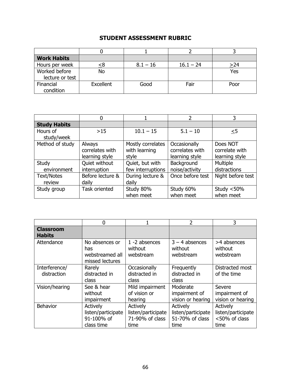# **STUDENT ASSESSMENT RUBRIC**

| <b>Work Habits</b> |                  |            |             |      |
|--------------------|------------------|------------|-------------|------|
| Hours per week     | <u>≤</u> ช       | $8.1 - 16$ | $16.1 - 24$ | >24  |
| Worked before      | No               |            |             | Yes  |
| lecture or test    |                  |            |             |      |
| Financial          | <b>Excellent</b> | Good       | Fair        | Poor |
| condition          |                  |            |             |      |

|                        | 0                |                   | っ                | 3                 |
|------------------------|------------------|-------------------|------------------|-------------------|
| <b>Study Habits</b>    |                  |                   |                  |                   |
| Hours of<br>study/week | $>15$            | $10.1 - 15$       | $5.1 - 10$       | $\leq$ 5          |
| Method of study        | Always           | Mostly correlates | Occasionally     | Does NOT          |
|                        | correlates with  | with learning     | correlates with  | correlate with    |
|                        | learning style   | style             | learning style   | learning style    |
| Study                  | Quiet without    | Quiet, but with   | Background       | Multiple          |
| environment            | interruption     | few interruptions | noise/activity   | distractions      |
| <b>Text/Notes</b>      | Before lecture & | During lecture &  | Once before test | Night before test |
| review                 | daily            | daily             |                  |                   |
| Study group            | Task oriented    | Study 80%         | Study 60%        | Study $<$ 50%     |
|                        |                  | when meet         | when meet        | when meet         |

|                                   | O                                                           |                                                                  | 2                                                                | 3                                                       |
|-----------------------------------|-------------------------------------------------------------|------------------------------------------------------------------|------------------------------------------------------------------|---------------------------------------------------------|
| <b>Classroom</b><br><b>Habits</b> |                                                             |                                                                  |                                                                  |                                                         |
| Attendance                        | No absences or<br>has<br>webstreamed all<br>missed lectures | 1 -2 absences<br>without<br>webstream                            | $3 - 4$ absences<br>without<br>webstream                         | >4 absences<br>without<br>webstream                     |
| Interference/<br>distraction      | Rarely<br>distracted in<br>class                            | Occasionally<br>distracted in<br>class                           | Frequently<br>distracted in<br>class                             | Distracted most<br>of the time                          |
| Vision/hearing                    | See & hear<br>without<br>impairment                         | Mild impairment<br>of vision or<br>hearing                       | Moderate<br>impairment of<br>vision or hearing                   | Severe<br>impairment of<br>vision or hearing            |
| <b>Behavior</b>                   | Actively<br>listen/participate<br>91-100% of<br>class time  | <b>Actively</b><br>listen/participate<br>71-90% of class<br>time | <b>Actively</b><br>listen/participate<br>51-70% of class<br>time | Actively<br>listen/participate<br><50% of class<br>time |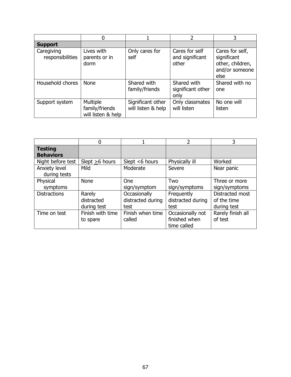|                                |                                                  |                                         |                                            | 3                                                                            |
|--------------------------------|--------------------------------------------------|-----------------------------------------|--------------------------------------------|------------------------------------------------------------------------------|
| <b>Support</b>                 |                                                  |                                         |                                            |                                                                              |
| Caregiving<br>responsibilities | Lives with<br>parents or in<br>dorm              | Only cares for<br>self                  | Cares for self<br>and significant<br>other | Cares for self,<br>significant<br>other, children,<br>and/or someone<br>else |
| Household chores               | <b>None</b>                                      | Shared with<br>family/friends           | Shared with<br>significant other<br>only   | Shared with no<br>one                                                        |
| Support system                 | Multiple<br>family/friends<br>will listen & help | Significant other<br>will listen & help | Only classmates<br>will listen             | No one will<br>listen                                                        |

|                                    | 0                                   |                                           | 2                                                | 3                                             |
|------------------------------------|-------------------------------------|-------------------------------------------|--------------------------------------------------|-----------------------------------------------|
| <b>Testing</b><br><b>Behaviors</b> |                                     |                                           |                                                  |                                               |
| Night before test                  | Slept $\geq 6$ hours                | Slept $<$ 6 hours                         | Physically ill                                   | Worked                                        |
| Anxiety level<br>during tests      | Mild                                | Moderate                                  | Severe                                           | Near panic                                    |
| Physical<br>symptoms               | None                                | <b>One</b><br>sign/symptom                | Two<br>sign/symptoms                             | Three or more<br>sign/symptoms                |
| <b>Distractions</b>                | Rarely<br>distracted<br>during test | Occasionally<br>distracted during<br>test | Frequently<br>distracted during<br>test          | Distracted most<br>of the time<br>during test |
| Time on test                       | Finish with time<br>to spare        | Finish when time<br>called                | Occasionally not<br>finished when<br>time called | Rarely finish all<br>of test                  |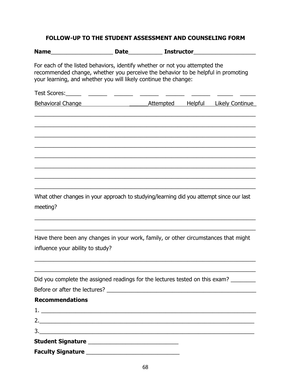# **FOLLOW-UP TO THE STUDENT ASSESSMENT AND COUNSELING FORM**

| <b>Name</b>                                                                                                                                                                                                                        | Date_________ | <b>Instructor</b> |         |                        |  |
|------------------------------------------------------------------------------------------------------------------------------------------------------------------------------------------------------------------------------------|---------------|-------------------|---------|------------------------|--|
| For each of the listed behaviors, identify whether or not you attempted the<br>recommended change, whether you perceive the behavior to be helpful in promoting<br>your learning, and whether you will likely continue the change: |               |                   |         |                        |  |
| Test Scores: ______ _______ _______                                                                                                                                                                                                |               |                   |         |                        |  |
| Behavioral Change                                                                                                                                                                                                                  |               | <u>Attempted</u>  | Helpful | <b>Likely Continue</b> |  |
|                                                                                                                                                                                                                                    |               |                   |         |                        |  |
|                                                                                                                                                                                                                                    |               |                   |         |                        |  |
|                                                                                                                                                                                                                                    |               |                   |         |                        |  |
|                                                                                                                                                                                                                                    |               |                   |         |                        |  |
| What other changes in your approach to studying/learning did you attempt since our last<br>meeting?                                                                                                                                |               |                   |         |                        |  |
| Have there been any changes in your work, family, or other circumstances that might                                                                                                                                                |               |                   |         |                        |  |
| influence your ability to study?                                                                                                                                                                                                   |               |                   |         |                        |  |
| Did you complete the assigned readings for the lectures tested on this exam?                                                                                                                                                       |               |                   |         |                        |  |
|                                                                                                                                                                                                                                    |               |                   |         |                        |  |
| <b>Recommendations</b>                                                                                                                                                                                                             |               |                   |         |                        |  |
|                                                                                                                                                                                                                                    |               |                   |         |                        |  |
|                                                                                                                                                                                                                                    |               |                   |         |                        |  |
|                                                                                                                                                                                                                                    |               |                   |         |                        |  |
|                                                                                                                                                                                                                                    |               |                   |         |                        |  |
|                                                                                                                                                                                                                                    |               |                   |         |                        |  |
|                                                                                                                                                                                                                                    |               |                   |         |                        |  |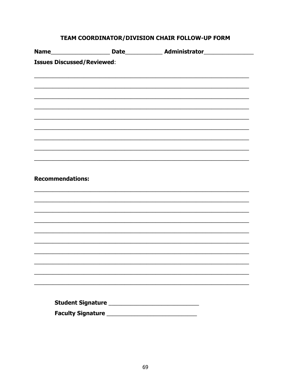# TEAM COORDINATOR/DIVISION CHAIR FOLLOW-UP FORM

| <b>Issues Discussed/Reviewed:</b> |  |  |  |
|-----------------------------------|--|--|--|
|                                   |  |  |  |
|                                   |  |  |  |
|                                   |  |  |  |
|                                   |  |  |  |
|                                   |  |  |  |
|                                   |  |  |  |
|                                   |  |  |  |
|                                   |  |  |  |
|                                   |  |  |  |
|                                   |  |  |  |
| <b>Recommendations:</b>           |  |  |  |
|                                   |  |  |  |
|                                   |  |  |  |
|                                   |  |  |  |
|                                   |  |  |  |
|                                   |  |  |  |
|                                   |  |  |  |
|                                   |  |  |  |
|                                   |  |  |  |
|                                   |  |  |  |
|                                   |  |  |  |
|                                   |  |  |  |
|                                   |  |  |  |
|                                   |  |  |  |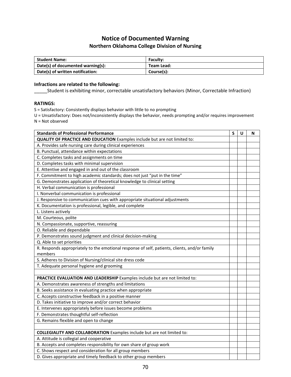# **Notice of Documented Warning**

# **Northern Oklahoma College Division of Nursing**

| <b>Student Name:</b>              | <b>Faculty:</b> |
|-----------------------------------|-----------------|
| Date(s) of documented warning(s): | Team Lead:      |
| Date(s) of written notification:  | Course(s):      |

### **Infractions are related to the following:**

\_\_\_\_\_Student is exhibiting minor, correctable unsatisfactory behaviors (Minor, Correctable Infraction)

### **RATINGS:**

S = Satisfactory: Consistently displays behavior with little to no prompting

U = Unsatisfactory: Does not/inconsistently displays the behavior, needs prompting and/or requires improvement N = Not observed

| <b>Standards of Professional Performance</b>                                                  | $\mathsf{s}$ | U | N |
|-----------------------------------------------------------------------------------------------|--------------|---|---|
| <b>QUALITY OF PRACTICE AND EDUCATION Examples include but are not limited to:</b>             |              |   |   |
| A. Provides safe nursing care during clinical experiences                                     |              |   |   |
| B. Punctual, attendance within expectations                                                   |              |   |   |
| C. Completes tasks and assignments on time                                                    |              |   |   |
| D. Completes tasks with minimal supervision                                                   |              |   |   |
| E. Attentive and engaged in and out of the classroom                                          |              |   |   |
| F. Commitment to high academic standards; does not just "put in the time"                     |              |   |   |
| G. Demonstrates application of theoretical knowledge to clinical setting                      |              |   |   |
| H. Verbal communication is professional                                                       |              |   |   |
| I. Nonverbal communication is professional                                                    |              |   |   |
| J. Responsive to communication cues with appropriate situational adjustments                  |              |   |   |
| K. Documentation is professional, legible, and complete                                       |              |   |   |
| L. Listens actively                                                                           |              |   |   |
| M. Courteous, polite                                                                          |              |   |   |
| N. Compassionate, supportive, reassuring                                                      |              |   |   |
| O. Reliable and dependable                                                                    |              |   |   |
| P. Demonstrates sound judgment and clinical decision-making                                   |              |   |   |
| Q. Able to set priorities                                                                     |              |   |   |
| R. Responds appropriately to the emotional response of self, patients, clients, and/or family |              |   |   |
| members                                                                                       |              |   |   |
| S. Adheres to Division of Nursing/clinical site dress code                                    |              |   |   |
| T. Adequate personal hygiene and grooming                                                     |              |   |   |
|                                                                                               |              |   |   |
| PRACTICE EVALUATION AND LEADERSHIP Examples include but are not limited to:                   |              |   |   |
| A. Demonstrates awareness of strengths and limitations                                        |              |   |   |
| B. Seeks assistance in evaluating practice when appropriate                                   |              |   |   |
| C. Accepts constructive feedback in a positive manner                                         |              |   |   |
| D. Takes initiative to improve and/or correct behavior                                        |              |   |   |
| E. Intervenes appropriately before issues become problems                                     |              |   |   |
| F. Demonstrates thoughtful self-reflection                                                    |              |   |   |
| G. Remains flexible and open to change                                                        |              |   |   |
|                                                                                               |              |   |   |
| <b>COLLEGIALITY AND COLLABORATION</b> Examples include but are not limited to:                |              |   |   |
| A. Attitude is collegial and cooperative                                                      |              |   |   |
| B. Accepts and completes responsibility for own share of group work                           |              |   |   |
| C. Shows respect and consideration for all group members                                      |              |   |   |
| D. Gives appropriate and timely feedback to other group members                               |              |   |   |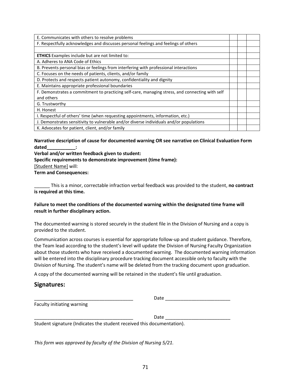| E. Communicates with others to resolve problems                                                 |  |  |
|-------------------------------------------------------------------------------------------------|--|--|
| F. Respectfully acknowledges and discusses personal feelings and feelings of others             |  |  |
|                                                                                                 |  |  |
| <b>ETHICS</b> Examples include but are not limited to:                                          |  |  |
| A. Adheres to ANA Code of Ethics                                                                |  |  |
| B. Prevents personal bias or feelings from interfering with professional interactions           |  |  |
| C. Focuses on the needs of patients, clients, and/or family                                     |  |  |
| D. Protects and respects patient autonomy, confidentiality and dignity                          |  |  |
| E. Maintains appropriate professional boundaries                                                |  |  |
| F. Demonstrates a commitment to practicing self-care, managing stress, and connecting with self |  |  |
| and others                                                                                      |  |  |
| G. Trustworthy                                                                                  |  |  |
| H. Honest                                                                                       |  |  |
| I. Respectful of others' time (when requesting appointments, information, etc.)                 |  |  |
| J. Demonstrates sensitivity to vulnerable and/or diverse individuals and/or populations         |  |  |
| K. Advocates for patient, client, and/or family                                                 |  |  |

**Narrative description of cause for documented warning OR see narrative on Clinical Evaluation Form dated\_\_\_\_\_\_\_\_\_\_\_:**

**Verbal and/or written feedback given to student:**

**Specific requirements to demonstrate improvement (time frame):** [Student Name] will: **Term and Consequences:**

\_\_\_\_\_\_ This is a minor, correctable infraction verbal feedback was provided to the student, **no contract is required at this time.**

## **Failure to meet the conditions of the documented warning within the designated time frame will result in further disciplinary action.**

The documented warning is stored securely in the student file in the Division of Nursing and a copy is provided to the student.

Communication across courses is essential for appropriate follow-up and student guidance. Therefore, the Team lead according to the student's level will update the Division of Nursing Faculty Organization about those students who have received a documented warning. The documented warning information will be entered into the disciplinary procedure tracking document accessible only to faculty with the Division of Nursing. The student's name will be deleted from the tracking document upon graduation.

A copy of the documented warning will be retained in the student's file until graduation.

# **Signatures:**

|                                                                                                                             | Date |  |
|-----------------------------------------------------------------------------------------------------------------------------|------|--|
| Faculty initiating warning                                                                                                  |      |  |
|                                                                                                                             | Date |  |
| $\sim$ 1 $\sim$ 1 $\sim$ 1 $\sim$ 1 $\sim$ 1 $\sim$ 1 $\sim$ 1 $\sim$ 1 $\sim$ 1 $\sim$ 1 $\sim$ 1 $\sim$ 1 $\sim$ 1 $\sim$ |      |  |

Student signature (Indicates the student received this documentation).

*This form was approved by faculty of the Division of Nursing 5/21.*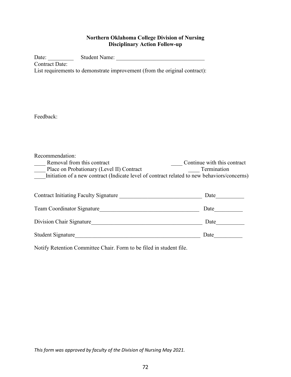# **Northern Oklahoma College Division of Nursing Disciplinary Action Follow‐up**

Date: \_\_\_\_\_\_\_\_\_ Student Name: \_\_\_\_\_\_\_\_\_\_\_\_\_\_\_\_\_\_\_\_\_\_\_\_\_\_\_\_\_\_\_ Contract Date: List requirements to demonstrate improvement (from the original contract):

Feedback:

Recommendation:

| Removal from this contract                                                                  | Continue with this contract |
|---------------------------------------------------------------------------------------------|-----------------------------|
| Place on Probationary (Level II) Contract                                                   | Termination                 |
| Initiation of a new contract (Indicate level of contract related to new behaviors/concerns) |                             |

| <b>Contract Initiating Faculty Signature</b> | Date |
|----------------------------------------------|------|
| <b>Team Coordinator Signature</b>            | Date |
| Division Chair Signature                     | Date |
| <b>Student Signature</b>                     | Date |

Notify Retention Committee Chair. Form to be filed in student file.

*This form was approved by faculty of the Division of Nursing May 2021.*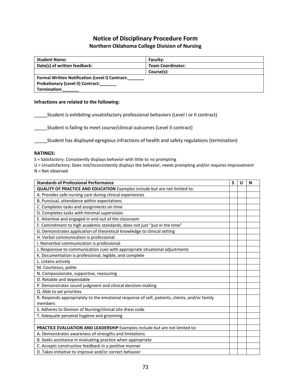# **Notice of Disciplinary Procedure Form**

## **Northern Oklahoma College Division of Nursing**

| <b>Student Name:</b>                                   | <b>Faculty:</b>          |
|--------------------------------------------------------|--------------------------|
| Date(s) of written feedback:                           | <b>Team Coordinator:</b> |
|                                                        | Course(s):               |
| <b>Formal Written Notification (Level I) Contract:</b> |                          |
| <b>Probationary (Level II) Contract:</b>               |                          |
| Termination:                                           |                          |

### **Infractions are related to the following:**

\_Student is exhibiting unsatisfactory professional behaviors (Level I or II contract)

\_\_\_\_\_Student is failing to meet course/clinical outcomes (Level II contract)

\_\_\_\_\_Student has displayed egregious infractions of health and safety regulations (termination)

#### **RATINGS:**

S = Satisfactory: Consistently displays behavior with little to no prompting

U = Unsatisfactory: Does not/inconsistently displays the behavior, needs prompting and/or requires improvement N = Not observed

| <b>Standards of Professional Performance</b>                                                  | S | U | N |
|-----------------------------------------------------------------------------------------------|---|---|---|
| QUALITY OF PRACTICE AND EDUCATION Examples include but are not limited to:                    |   |   |   |
| A. Provides safe nursing care during clinical experiences                                     |   |   |   |
| B. Punctual, attendance within expectations                                                   |   |   |   |
| C. Completes tasks and assignments on time                                                    |   |   |   |
| D. Completes tasks with minimal supervision                                                   |   |   |   |
| E. Attentive and engaged in and out of the classroom                                          |   |   |   |
| F. Commitment to high academic standards; does not just "put in the time"                     |   |   |   |
| G. Demonstrates application of theoretical knowledge to clinical setting                      |   |   |   |
| H. Verbal communication is professional                                                       |   |   |   |
| I. Nonverbal communication is professional                                                    |   |   |   |
| J. Responsive to communication cues with appropriate situational adjustments                  |   |   |   |
| K. Documentation is professional, legible, and complete                                       |   |   |   |
| L. Listens actively                                                                           |   |   |   |
| M. Courteous, polite                                                                          |   |   |   |
| N. Compassionate, supportive, reassuring                                                      |   |   |   |
| O. Reliable and dependable                                                                    |   |   |   |
| P. Demonstrates sound judgment and clinical decision-making                                   |   |   |   |
| Q. Able to set priorities                                                                     |   |   |   |
| R. Responds appropriately to the emotional response of self, patients, clients, and/or family |   |   |   |
| members                                                                                       |   |   |   |
| S. Adheres to Division of Nursing/clinical site dress code                                    |   |   |   |
| T. Adequate personal hygiene and grooming                                                     |   |   |   |
|                                                                                               |   |   |   |
| PRACTICE EVALUATION AND LEADERSHIP Examples include but are not limited to:                   |   |   |   |
| A. Demonstrates awareness of strengths and limitations                                        |   |   |   |
| B. Seeks assistance in evaluating practice when appropriate                                   |   |   |   |
| C. Accepts constructive feedback in a positive manner                                         |   |   |   |
| D. Takes initiative to improve and/or correct behavior                                        |   |   |   |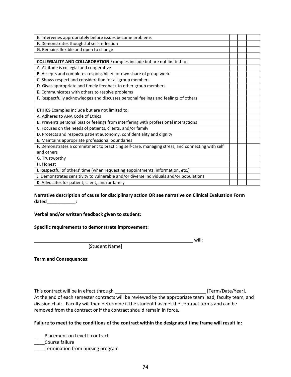| E. Intervenes appropriately before issues become problems                                       |  |  |
|-------------------------------------------------------------------------------------------------|--|--|
| F. Demonstrates thoughtful self-reflection                                                      |  |  |
| G. Remains flexible and open to change                                                          |  |  |
|                                                                                                 |  |  |
| <b>COLLEGIALITY AND COLLABORATION</b> Examples include but are not limited to:                  |  |  |
| A. Attitude is collegial and cooperative                                                        |  |  |
| B. Accepts and completes responsibility for own share of group work                             |  |  |
| C. Shows respect and consideration for all group members                                        |  |  |
| D. Gives appropriate and timely feedback to other group members                                 |  |  |
| E. Communicates with others to resolve problems                                                 |  |  |
| F. Respectfully acknowledges and discusses personal feelings and feelings of others             |  |  |
|                                                                                                 |  |  |
| ETHICS Examples include but are not limited to:                                                 |  |  |
| A. Adheres to ANA Code of Ethics                                                                |  |  |
| B. Prevents personal bias or feelings from interfering with professional interactions           |  |  |
| C. Focuses on the needs of patients, clients, and/or family                                     |  |  |
| D. Protects and respects patient autonomy, confidentiality and dignity                          |  |  |
| E. Maintains appropriate professional boundaries                                                |  |  |
| F. Demonstrates a commitment to practicing self-care, managing stress, and connecting with self |  |  |
| and others                                                                                      |  |  |
| G. Trustworthy                                                                                  |  |  |
| H. Honest                                                                                       |  |  |
| I. Respectful of others' time (when requesting appointments, information, etc.)                 |  |  |
| J. Demonstrates sensitivity to vulnerable and/or diverse individuals and/or populations         |  |  |
| K. Advocates for patient, client, and/or family                                                 |  |  |

**Narrative description of cause for disciplinary action OR see narrative on Clinical Evaluation Form dated\_\_\_\_\_\_\_\_\_\_\_:**

## **Verbal and/or written feedback given to student:**

**Specific requirements to demonstrate improvement:**

\_\_\_\_\_\_\_\_\_\_\_\_\_\_\_\_\_\_\_\_\_\_\_\_\_\_\_\_\_\_\_\_\_\_\_\_\_\_\_\_\_\_\_\_\_\_\_\_\_\_\_\_\_\_\_\_\_\_\_\_\_ will:

[Student Name]

**Term and Consequences:**

This contract will be in effect through \_\_\_\_\_\_\_\_\_\_\_\_\_\_\_\_\_\_\_\_\_\_\_\_\_\_\_\_\_\_\_\_\_\_\_ [Term/Date/Year]. At the end of each semester contracts will be reviewed by the appropriate team lead, faculty team, and division chair. Faculty will then determine if the student has met the contract terms and can be removed from the contract or if the contract should remain in force.

## **Failure to meet to the conditions of the contract within the designated time frame will result in:**

\_\_\_\_Placement on Level II contract \_\_\_\_Course failure

**Termination from nursing program**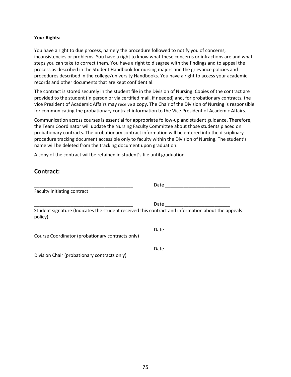### **Your Rights:**

You have a right to due process, namely the procedure followed to notify you of concerns, inconsistencies or problems. You have a right to know what these concerns or infractions are and what steps you can take to correct them. You have a right to disagree with the findings and to appeal the process as described in the Student Handbook for nursing majors and the grievance policies and procedures described in the college/university Handbooks. You have a right to access your academic records and other documents that are kept confidential.

The contract is stored securely in the student file in the Division of Nursing. Copies of the contract are provided to the student (in person or via certified mail, if needed) and, for probationary contracts, the Vice President of Academic Affairs may receive a copy. The Chair of the Division of Nursing is responsible for communicating the probationary contract information to the Vice President of Academic Affairs.

Communication across courses is essential for appropriate follow-up and student guidance. Therefore, the Team Coordinator will update the Nursing Faculty Committee about those students placed on probationary contracts. The probationary contract information will be entered into the disciplinary procedure tracking document accessible only to faculty within the Division of Nursing. The student's name will be deleted from the tracking document upon graduation.

A copy of the contract will be retained in student's file until graduation.

# **Contract:**

| Faculty initiating contract |  |
|-----------------------------|--|
|                             |  |
|                             |  |

Student signature (Indicates the student received this contract and information about the appeals policy).

| Course Coordinator (probationary contracts only) |  |
|--------------------------------------------------|--|

Division Chair (probationary contracts only)

\_\_\_\_\_\_\_\_\_\_\_\_\_\_\_\_\_\_\_\_\_\_\_\_\_\_\_\_\_\_\_\_\_\_\_\_\_\_ Date \_\_\_\_\_\_\_\_\_\_\_\_\_\_\_\_\_\_\_\_\_\_\_\_\_

\_\_\_\_\_\_\_\_\_\_\_\_\_\_\_\_\_\_\_\_\_\_\_\_\_\_\_\_\_\_\_\_\_\_\_\_\_\_ Date \_\_\_\_\_\_\_\_\_\_\_\_\_\_\_\_\_\_\_\_\_\_\_\_\_

Date  $\Box$ 

\_\_\_\_\_\_\_\_\_\_\_\_\_\_\_\_\_\_\_\_\_\_\_\_\_\_\_\_\_\_\_\_\_\_\_\_\_\_ Date \_\_\_\_\_\_\_\_\_\_\_\_\_\_\_\_\_\_\_\_\_\_\_\_\_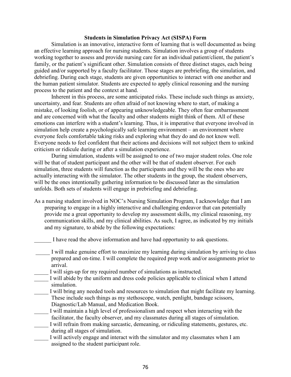## **Students in Simulation Privacy Act (SISPA) Form**

Simulation is an innovative, interactive form of learning that is well documented as being an effective learning approach for nursing students. Simulation involves a group of students working together to assess and provide nursing care for an individual patient/client, the patient's family, or the patient's significant other. Simulation consists of three distinct stages, each being guided and/or supported by a faculty facilitator. Those stages are prebriefing, the simulation, and debriefing. During each stage, students are given opportunities to interact with one another and the human patient simulator. Students are expected to apply clinical reasoning and the nursing process to the patient and the context at hand.

Inherent in this process, are some anticipated risks. These include such things as anxiety, uncertainty, and fear. Students are often afraid of not knowing where to start, of making a mistake, of looking foolish, or of appearing unknowledgeable. They often fear embarrassment and are concerned with what the faculty and other students might think of them. All of these emotions can interfere with a student's learning. Thus, it is imperative that everyone involved in simulation help create a psychologically safe learning environment – an environment where everyone feels comfortable taking risks and exploring what they do and do not know well. Everyone needs to feel confident that their actions and decisions will not subject them to unkind criticism or ridicule during or after a simulation experience.

During simulation, students will be assigned to one of two major student roles. One role will be that of student participant and the other will be that of student observer. For each simulation, three students will function as the participants and they will be the ones who are actually interacting with the simulator. The other students in the group, the student observers, will be the ones intentionally gathering information to be discussed later as the simulation unfolds. Both sets of students will engage in prebriefing and debriefing.

As a nursing student involved in NOC's Nursing Simulation Program, I acknowledge that I am preparing to engage in a highly interactive and challenging endeavor that can potentially provide me a great opportunity to develop my assessment skills, my clinical reasoning, my communication skills, and my clinical abilities. As such, I agree, as indicated by my initials and my signature, to abide by the following expectations:

I have read the above information and have had opportunity to ask questions.

- I will make genuine effort to maximize my learning during simulation by arriving to class prepared and on-time. I will complete the required prep work and/or assignments prior to arrival.
- I will sign-up for my required number of simulations as instructed.
- I will abide by the uniform and dress code policies applicable to clinical when I attend simulation.
- I will bring any needed tools and resources to simulation that might facilitate my learning. These include such things as my stethoscope, watch, penlight, bandage scissors, Diagnostic/Lab Manual, and Medication Book.

I will maintain a high level of professionalism and respect when interacting with the facilitator, the faculty observer, and my classmates during all stages of simulation.

- I will refrain from making sarcastic, demeaning, or ridiculing statements, gestures, etc. during all stages of simulation.
- I will actively engage and interact with the simulator and my classmates when I am assigned to the student participant role.